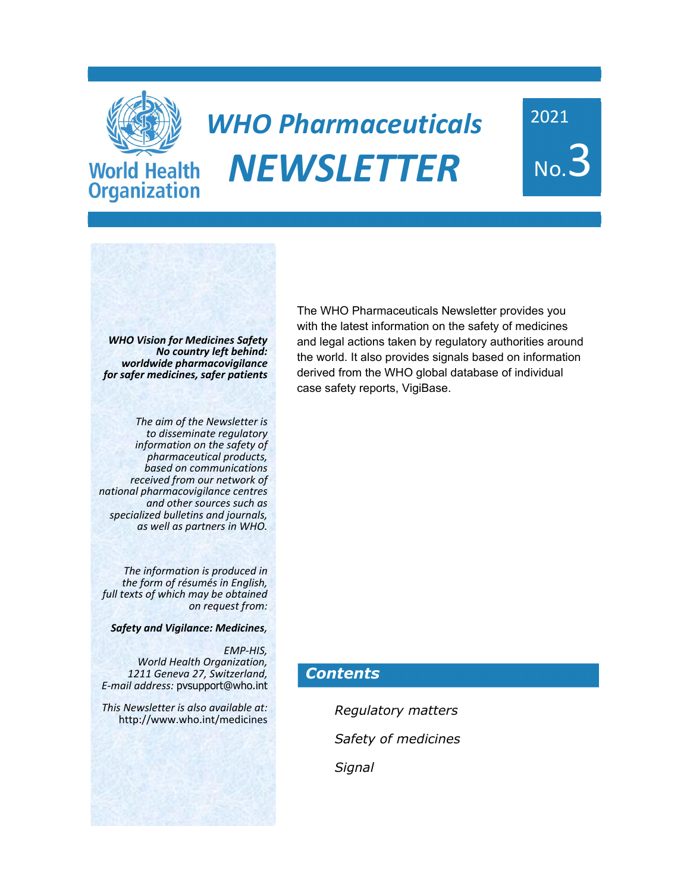

**Organization** 

# *WHO Pharmaceuticals NEWSLETTER*

2021 No.3

*WHO Vision for Medicines Safety No country left behind: worldwide pharmacovigilance for safer medicines, safer patients*

*The aim of the Newsletter is information on the safety of*<br>*pharmaceutical products, pharmaceutical products, based on communications received from our network of national pharmacovigilance centres and other sources such as specialized bulletins and journals, as well as partners in WHO.* 

The information is produced in<br>the form of résumés in English,<br>full texts of which may be obtained *on request from:* 

*Safety and Vigilance: Medicines,*

 *EMP‐HIS, World Health Organization, 1211 Geneva 27, Switzerland, E‐mail address:* pvsupport@who.int

*This Newsletter is also available at:*  http://www.who.int/medicines

The WHO Pharmaceuticals Newsletter provides you with the latest information on the safety of medicines and legal actions taken by regulatory authorities around the world. It also provides signals based on information derived from the WHO global database of individual case safety reports, VigiBase.

### *Contents*

*Regulatory matters Safety of medicines Signal*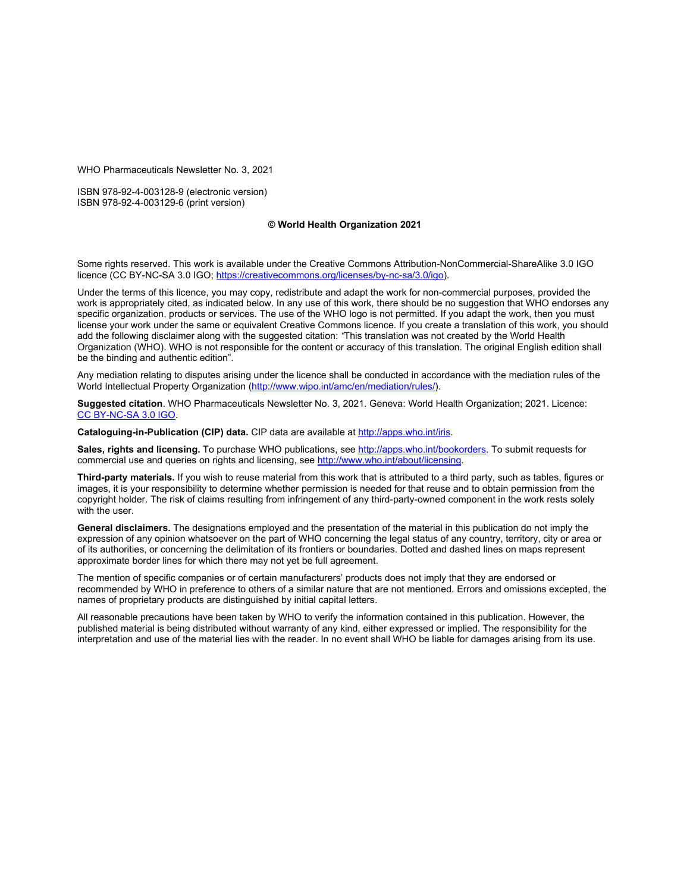WHO Pharmaceuticals Newsletter No. 3, 2021

ISBN 978-92-4-003128-9 (electronic version) ISBN 978-92-4-003129-6 (print version)

#### **© World Health Organization 2021**

Some rights reserved. This work is available under the Creative Commons Attribution-NonCommercial-ShareAlike 3.0 IGO licence (CC BY-NC-SA 3.0 IGO; https://creativecommons.org/licenses/by-nc-sa/3.0/igo).

Under the terms of this licence, you may copy, redistribute and adapt the work for non-commercial purposes, provided the work is appropriately cited, as indicated below. In any use of this work, there should be no suggestion that WHO endorses any specific organization, products or services. The use of the WHO logo is not permitted. If you adapt the work, then you must license your work under the same or equivalent Creative Commons licence. If you create a translation of this work, you should add the following disclaimer along with the suggested citation: *"*This translation was not created by the World Health Organization (WHO). WHO is not responsible for the content or accuracy of this translation. The original English edition shall be the binding and authentic edition".

Any mediation relating to disputes arising under the licence shall be conducted in accordance with the mediation rules of the World Intellectual Property Organization (http://www.wipo.int/amc/en/mediation/rules/).

**Suggested citation**. WHO Pharmaceuticals Newsletter No. 3, 2021. Geneva: World Health Organization; 2021. Licence: CC BY-NC-SA 3.0 IGO.

**Cataloguing-in-Publication (CIP) data.** CIP data are available at http://apps.who.int/iris.

**Sales, rights and licensing.** To purchase WHO publications, see http://apps.who.int/bookorders. To submit requests for commercial use and queries on rights and licensing, see http://www.who.int/about/licensing.

**Third-party materials.** If you wish to reuse material from this work that is attributed to a third party, such as tables, figures or images, it is your responsibility to determine whether permission is needed for that reuse and to obtain permission from the copyright holder. The risk of claims resulting from infringement of any third-party-owned component in the work rests solely with the user.

**General disclaimers.** The designations employed and the presentation of the material in this publication do not imply the expression of any opinion whatsoever on the part of WHO concerning the legal status of any country, territory, city or area or of its authorities, or concerning the delimitation of its frontiers or boundaries. Dotted and dashed lines on maps represent approximate border lines for which there may not yet be full agreement.

The mention of specific companies or of certain manufacturers' products does not imply that they are endorsed or recommended by WHO in preference to others of a similar nature that are not mentioned. Errors and omissions excepted, the names of proprietary products are distinguished by initial capital letters.

All reasonable precautions have been taken by WHO to verify the information contained in this publication. However, the published material is being distributed without warranty of any kind, either expressed or implied. The responsibility for the interpretation and use of the material lies with the reader. In no event shall WHO be liable for damages arising from its use.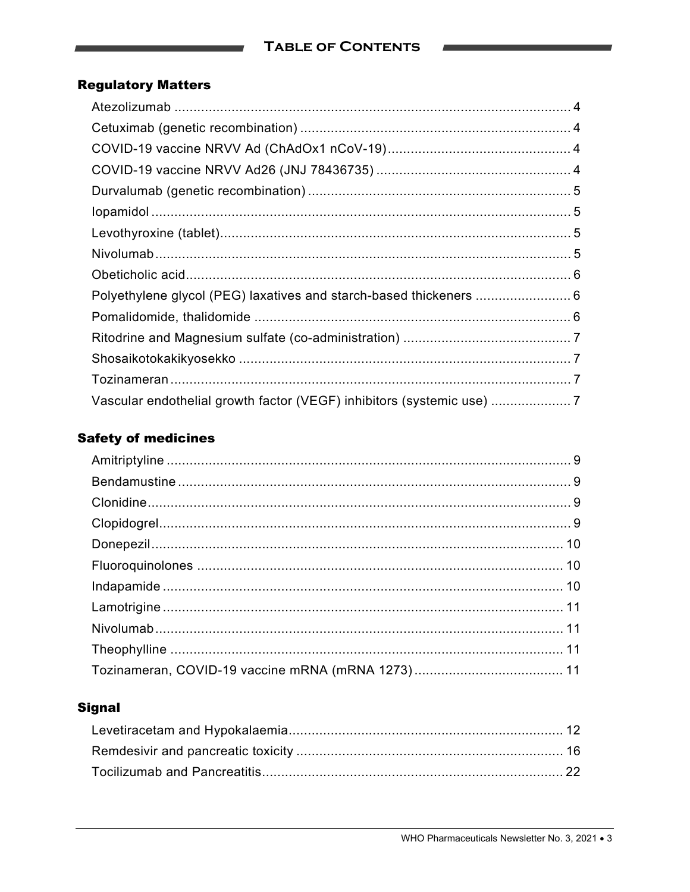### **Regulatory Matters**

| Vascular endothelial growth factor (VEGF) inhibitors (systemic use) |  |
|---------------------------------------------------------------------|--|

### **Safety of medicines**

### **Signal**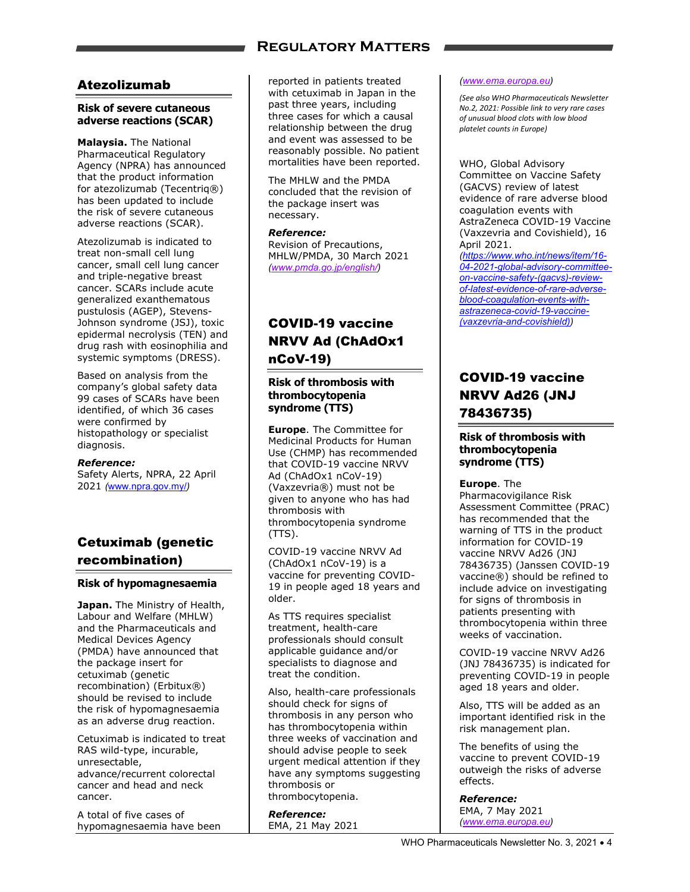### **Regulatory Matters**

### Atezolizumab

### **Risk of severe cutaneous adverse reactions (SCAR)**

**Malaysia.** The National Pharmaceutical Regulatory Agency (NPRA) has announced that the product information for atezolizumab (Tecentriq®) has been updated to include the risk of severe cutaneous adverse reactions (SCAR).

Atezolizumab is indicated to treat non-small cell lung cancer, small cell lung cancer and triple-negative breast cancer. SCARs include acute generalized exanthematous pustulosis (AGEP), Stevens-Johnson syndrome (JSJ), toxic epidermal necrolysis (TEN) and drug rash with eosinophilia and systemic symptoms (DRESS).

Based on analysis from the company's global safety data 99 cases of SCARs have been identified, of which 36 cases were confirmed by histopathology or specialist diagnosis.

#### *Reference:*

Safety Alerts, NPRA, 22 April 2021 *(*www.npra.gov.my/*)* 

### Cetuximab (genetic recombination)

### **Risk of hypomagnesaemia**

**Japan.** The Ministry of Health, Labour and Welfare (MHLW) and the Pharmaceuticals and Medical Devices Agency (PMDA) have announced that the package insert for cetuximab (genetic recombination) (Erbitux®) should be revised to include the risk of hypomagnesaemia as an adverse drug reaction.

Cetuximab is indicated to treat RAS wild-type, incurable, unresectable, advance/recurrent colorectal cancer and head and neck cancer.

A total of five cases of hypomagnesaemia have been reported in patients treated with cetuximab in Japan in the past three years, including three cases for which a causal relationship between the drug and event was assessed to be reasonably possible. No patient mortalities have been reported.

The MHLW and the PMDA concluded that the revision of the package insert was necessary.

#### *Reference:*

Revision of Precautions, MHLW/PMDA, 30 March 2021 *(www.pmda.go.jp/english/)* 

### COVID-19 vaccine NRVV Ad (ChAdOx1 nCoV-19)

### **Risk of thrombosis with thrombocytopenia syndrome (TTS)**

**Europe**. The Committee for Medicinal Products for Human Use (CHMP) has recommended that COVID-19 vaccine NRVV Ad (ChAdOx1 nCoV-19) (Vaxzevria®) must not be given to anyone who has had thrombosis with thrombocytopenia syndrome  $(TTS)$ .

COVID-19 vaccine NRVV Ad (ChAdOx1 nCoV-19) is a vaccine for preventing COVID-19 in people aged 18 years and older.

As TTS requires specialist treatment, health-care professionals should consult applicable guidance and/or specialists to diagnose and treat the condition.

Also, health-care professionals should check for signs of thrombosis in any person who has thrombocytopenia within three weeks of vaccination and should advise people to seek urgent medical attention if they have any symptoms suggesting thrombosis or thrombocytopenia.

*Reference:*  EMA, 21 May 2021

#### *(www.ema.europa.eu)*

*(See also WHO Pharmaceuticals Newsletter No.2, 2021: Possible link to very rare cases of unusual blood clots with low blood platelet counts in Europe)*

WHO, Global Advisory Committee on Vaccine Safety (GACVS) review of latest evidence of rare adverse blood coagulation events with AstraZeneca COVID-19 Vaccine (Vaxzevria and Covishield), 16 April 2021.

*(https://www.who.int/news/item/16- 04-2021-global-advisory-committeeon-vaccine-safety-(gacvs)-reviewof-latest-evidence-of-rare-adverseblood-coagulation-events-withastrazeneca-covid-19-vaccine- (vaxzevria-and-covishield))* 

### COVID-19 vaccine NRVV Ad26 (JNJ 78436735)

### **Risk of thrombosis with thrombocytopenia syndrome (TTS)**

**Europe**. The

Pharmacovigilance Risk Assessment Committee (PRAC) has recommended that the warning of TTS in the product information for COVID-19 vaccine NRVV Ad26 (JNJ 78436735) (Janssen COVID-19 vaccine®) should be refined to include advice on investigating for signs of thrombosis in patients presenting with thrombocytopenia within three weeks of vaccination.

COVID-19 vaccine NRVV Ad26 (JNJ 78436735) is indicated for preventing COVID-19 in people aged 18 years and older.

Also, TTS will be added as an important identified risk in the risk management plan.

The benefits of using the vaccine to prevent COVID-19 outweigh the risks of adverse effects.

#### *Reference:*

EMA, 7 May 2021 *(www.ema.europa.eu)*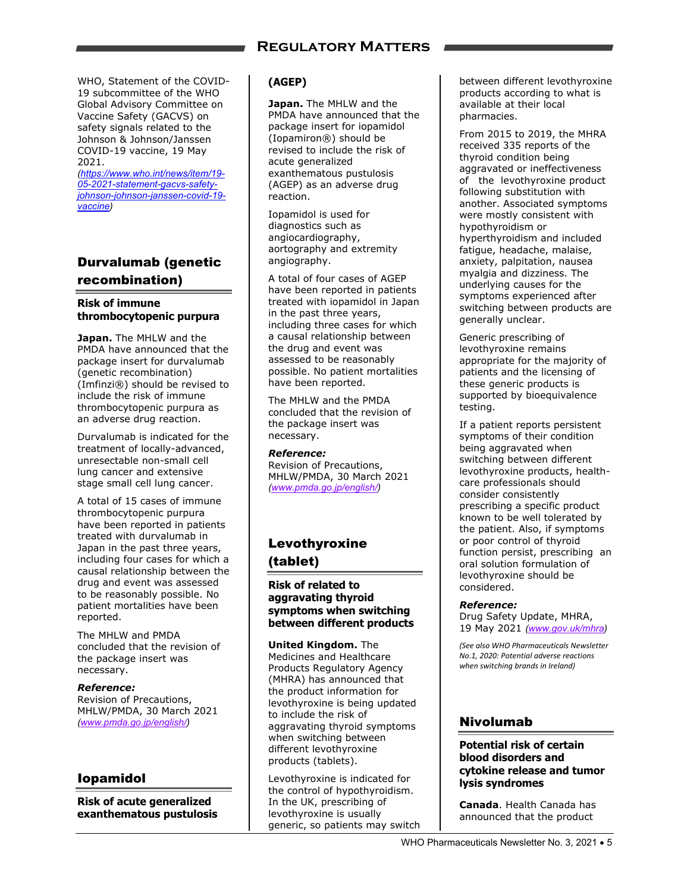WHO, Statement of the COVID-19 subcommittee of the WHO Global Advisory Committee on Vaccine Safety (GACVS) on safety signals related to the Johnson & Johnson/Janssen COVID-19 vaccine, 19 May 2021.

*(https://www.who.int/news/item/19- 05-2021-statement-gacvs-safetyjohnson-johnson-janssen-covid-19 vaccine)* 

### Durvalumab (genetic recombination)

#### **Risk of immune thrombocytopenic purpura**

**Japan.** The MHLW and the PMDA have announced that the package insert for durvalumab (genetic recombination) (Imfinzi®) should be revised to include the risk of immune thrombocytopenic purpura as an adverse drug reaction.

Durvalumab is indicated for the treatment of locally-advanced, unresectable non-small cell lung cancer and extensive stage small cell lung cancer.

A total of 15 cases of immune thrombocytopenic purpura have been reported in patients treated with durvalumab in Japan in the past three years, including four cases for which a causal relationship between the drug and event was assessed to be reasonably possible. No patient mortalities have been reported.

The MHLW and PMDA concluded that the revision of the package insert was necessary.

#### *Reference:*  Revision of Precautions, MHLW/PMDA, 30 March 2021 *(www.pmda.go.jp/english/)*

### Iopamidol

**Risk of acute generalized exanthematous pustulosis** 

### **(AGEP)**

**Japan.** The MHLW and the PMDA have announced that the package insert for iopamidol (Iopamiron®) should be revised to include the risk of acute generalized exanthematous pustulosis (AGEP) as an adverse drug reaction.

Iopamidol is used for diagnostics such as angiocardiography, aortography and extremity angiography.

A total of four cases of AGEP have been reported in patients treated with iopamidol in Japan in the past three years, including three cases for which a causal relationship between the drug and event was assessed to be reasonably possible. No patient mortalities have been reported.

The MHLW and the PMDA concluded that the revision of the package insert was necessary.

### *Reference:*

Revision of Precautions, MHLW/PMDA, 30 March 2021 *(www.pmda.go.jp/english/)* 

### Levothyroxine (tablet)

### **Risk of related to aggravating thyroid symptoms when switching between different products**

**United Kingdom.** The Medicines and Healthcare Products Regulatory Agency (MHRA) has announced that the product information for levothyroxine is being updated to include the risk of aggravating thyroid symptoms when switching between different levothyroxine products (tablets).

Levothyroxine is indicated for the control of hypothyroidism. In the UK, prescribing of levothyroxine is usually generic, so patients may switch

between different levothyroxine products according to what is available at their local pharmacies.

From 2015 to 2019, the MHRA received 335 reports of the thyroid condition being aggravated or ineffectiveness of the levothyroxine product following substitution with another. Associated symptoms were mostly consistent with hypothyroidism or hyperthyroidism and included fatigue, headache, malaise, anxiety, palpitation, nausea myalgia and dizziness. The underlying causes for the symptoms experienced after switching between products are generally unclear.

Generic prescribing of levothyroxine remains appropriate for the majority of patients and the licensing of these generic products is supported by bioequivalence testing.

If a patient reports persistent symptoms of their condition being aggravated when switching between different levothyroxine products, healthcare professionals should consider consistently prescribing a specific product known to be well tolerated by the patient. Also, if symptoms or poor control of thyroid function persist, prescribing an oral solution formulation of levothyroxine should be considered.

### *Reference:*

Drug Safety Update, MHRA, 19 May 2021 *(www.gov.uk/mhra)* 

*(See also WHO Pharmaceuticals Newsletter No.1, 2020: Potential adverse reactions when switching brands in Ireland)*

### Nivolumab

#### **Potential risk of certain blood disorders and cytokine release and tumor lysis syndromes**

**Canada**. Health Canada has announced that the product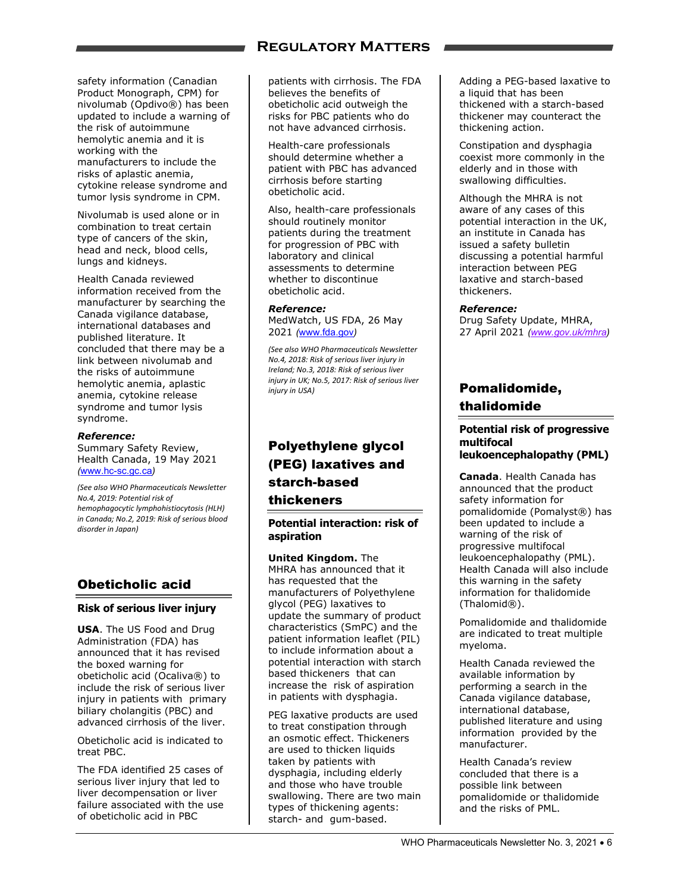### **Regulatory Matters**

safety information (Canadian Product Monograph, CPM) for nivolumab (Opdivo®) has been updated to include a warning of the risk of autoimmune hemolytic anemia and it is working with the manufacturers to include the risks of aplastic anemia, cytokine release syndrome and tumor lysis syndrome in CPM.

Nivolumab is used alone or in combination to treat certain type of cancers of the skin, head and neck, blood cells, lungs and kidneys.

Health Canada reviewed information received from the manufacturer by searching the Canada vigilance database, international databases and published literature. It concluded that there may be a link between nivolumab and the risks of autoimmune hemolytic anemia, aplastic anemia, cytokine release syndrome and tumor lysis syndrome.

#### *Reference:*

Summary Safety Review, Health Canada, 19 May 2021 *(*www.hc-sc.gc.ca*)* 

*(See also WHO Pharmaceuticals Newsletter No.4, 2019: Potential risk of hemophagocytic lymphohistiocytosis (HLH) in Canada; No.2, 2019: Risk of serious blood disorder in Japan)*

### Obeticholic acid

#### **Risk of serious liver injury**

**USA**. The US Food and Drug Administration (FDA) has announced that it has revised the boxed warning for obeticholic acid (Ocaliva®) to include the risk of serious liver injury in patients with primary biliary cholangitis (PBC) and advanced cirrhosis of the liver.

Obeticholic acid is indicated to treat PBC.

The FDA identified 25 cases of serious liver injury that led to liver decompensation or liver failure associated with the use of obeticholic acid in PBC

patients with cirrhosis. The FDA believes the benefits of obeticholic acid outweigh the risks for PBC patients who do not have advanced cirrhosis.

Health-care professionals should determine whether a patient with PBC has advanced cirrhosis before starting obeticholic acid.

Also, health-care professionals should routinely monitor patients during the treatment for progression of PBC with laboratory and clinical assessments to determine whether to discontinue obeticholic acid.

#### *Reference:*

MedWatch, US FDA, 26 May 2021 *(*www.fda.gov*)* 

*(See also WHO Pharmaceuticals Newsletter No.4, 2018: Risk of serious liver injury in Ireland; No.3, 2018: Risk of serious liver injury in UK; No.5, 2017: Risk of serious liver injury in USA)*

### Polyethylene glycol (PEG) laxatives and starch-based thickeners

#### **Potential interaction: risk of aspiration**

**United Kingdom.** The MHRA has announced that it has requested that the manufacturers of Polyethylene glycol (PEG) laxatives to update the summary of product characteristics (SmPC) and the patient information leaflet (PIL) to include information about a potential interaction with starch based thickeners that can increase the risk of aspiration in patients with dysphagia.

PEG laxative products are used to treat constipation through an osmotic effect. Thickeners are used to thicken liquids taken by patients with dysphagia, including elderly and those who have trouble swallowing. There are two main types of thickening agents: starch- and gum-based.

Adding a PEG-based laxative to a liquid that has been thickened with a starch-based thickener may counteract the thickening action.

Constipation and dysphagia coexist more commonly in the elderly and in those with swallowing difficulties.

Although the MHRA is not aware of any cases of this potential interaction in the UK, an institute in Canada has issued a safety bulletin discussing a potential harmful interaction between PEG laxative and starch-based thickeners.

#### *Reference:*

Drug Safety Update, MHRA, 27 April 2021 *(www.gov.uk/mhra)* 

### Pomalidomide, thalidomide

#### **Potential risk of progressive multifocal leukoencephalopathy (PML)**

**Canada**. Health Canada has announced that the product safety information for pomalidomide (Pomalyst®) has been updated to include a warning of the risk of progressive multifocal leukoencephalopathy (PML). Health Canada will also include this warning in the safety information for thalidomide

Pomalidomide and thalidomide are indicated to treat multiple myeloma.

(Thalomid®).

Health Canada reviewed the available information by performing a search in the Canada vigilance database, international database, published literature and using information provided by the manufacturer.

Health Canada's review concluded that there is a possible link between pomalidomide or thalidomide and the risks of PML.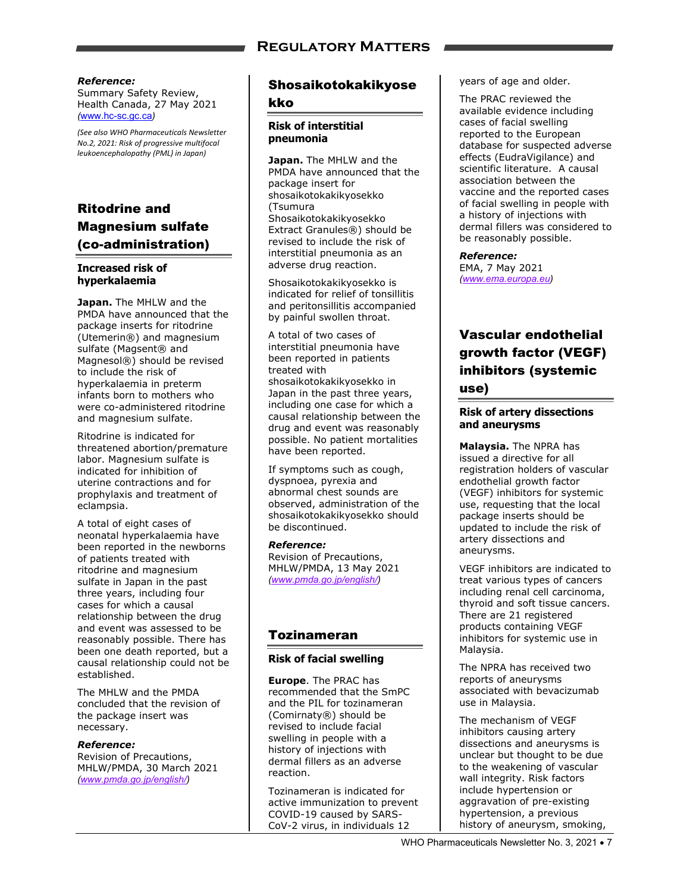#### *Reference:*

Summary Safety Review, Health Canada, 27 May 2021 *(*www.hc-sc.gc.ca*)* 

*(See also WHO Pharmaceuticals Newsletter No.2, 2021: Risk of progressive multifocal leukoencephalopathy (PML) in Japan)*

### Ritodrine and Magnesium sulfate (co-administration)

### **Increased risk of hyperkalaemia**

**Japan.** The MHLW and the PMDA have announced that the package inserts for ritodrine (Utemerin®) and magnesium sulfate (Magsent® and Magnesol®) should be revised to include the risk of hyperkalaemia in preterm infants born to mothers who were co-administered ritodrine and magnesium sulfate.

Ritodrine is indicated for threatened abortion/premature labor. Magnesium sulfate is indicated for inhibition of uterine contractions and for prophylaxis and treatment of eclampsia.

A total of eight cases of neonatal hyperkalaemia have been reported in the newborns of patients treated with ritodrine and magnesium sulfate in Japan in the past three years, including four cases for which a causal relationship between the drug and event was assessed to be reasonably possible. There has been one death reported, but a causal relationship could not be established.

The MHLW and the PMDA concluded that the revision of the package insert was necessary.

#### *Reference:*

Revision of Precautions, MHLW/PMDA, 30 March 2021 *(www.pmda.go.jp/english/)* 

### Shosaikotokakikyose kko

#### **Risk of interstitial pneumonia**

**Japan.** The MHLW and the PMDA have announced that the package insert for shosaikotokakikyosekko (Tsumura Shosaikotokakikyosekko Extract Granules®) should be revised to include the risk of interstitial pneumonia as an adverse drug reaction.

Shosaikotokakikyosekko is indicated for relief of tonsillitis and peritonsillitis accompanied by painful swollen throat.

A total of two cases of interstitial pneumonia have been reported in patients treated with shosaikotokakikyosekko in Japan in the past three years, including one case for which a causal relationship between the drug and event was reasonably possible. No patient mortalities have been reported.

If symptoms such as cough, dyspnoea, pyrexia and abnormal chest sounds are observed, administration of the shosaikotokakikyosekko should be discontinued.

*Reference:*  Revision of Precautions, MHLW/PMDA, 13 May 2021 *(www.pmda.go.jp/english/)* 

### Tozinameran

### **Risk of facial swelling**

**Europe**. The PRAC has recommended that the SmPC and the PIL for tozinameran (Comirnaty®) should be revised to include facial swelling in people with a history of injections with dermal fillers as an adverse reaction.

Tozinameran is indicated for active immunization to prevent COVID-19 caused by SARS-CoV-2 virus, in individuals 12

years of age and older.

The PRAC reviewed the available evidence including cases of facial swelling reported to the European database for suspected adverse effects (EudraVigilance) and scientific literature. A causal association between the vaccine and the reported cases of facial swelling in people with a history of injections with dermal fillers was considered to be reasonably possible.

*Reference:*  EMA, 7 May 2021 *(www.ema.europa.eu)* 

### Vascular endothelial growth factor (VEGF) inhibitors (systemic use)

#### **Risk of artery dissections and aneurysms**

**Malaysia.** The NPRA has issued a directive for all registration holders of vascular endothelial growth factor (VEGF) inhibitors for systemic use, requesting that the local package inserts should be updated to include the risk of artery dissections and aneurysms.

VEGF inhibitors are indicated to treat various types of cancers including renal cell carcinoma, thyroid and soft tissue cancers. There are 21 registered products containing VEGF inhibitors for systemic use in Malaysia.

The NPRA has received two reports of aneurysms associated with bevacizumab use in Malaysia.

The mechanism of VEGF inhibitors causing artery dissections and aneurysms is unclear but thought to be due to the weakening of vascular wall integrity. Risk factors include hypertension or aggravation of pre-existing hypertension, a previous history of aneurysm, smoking,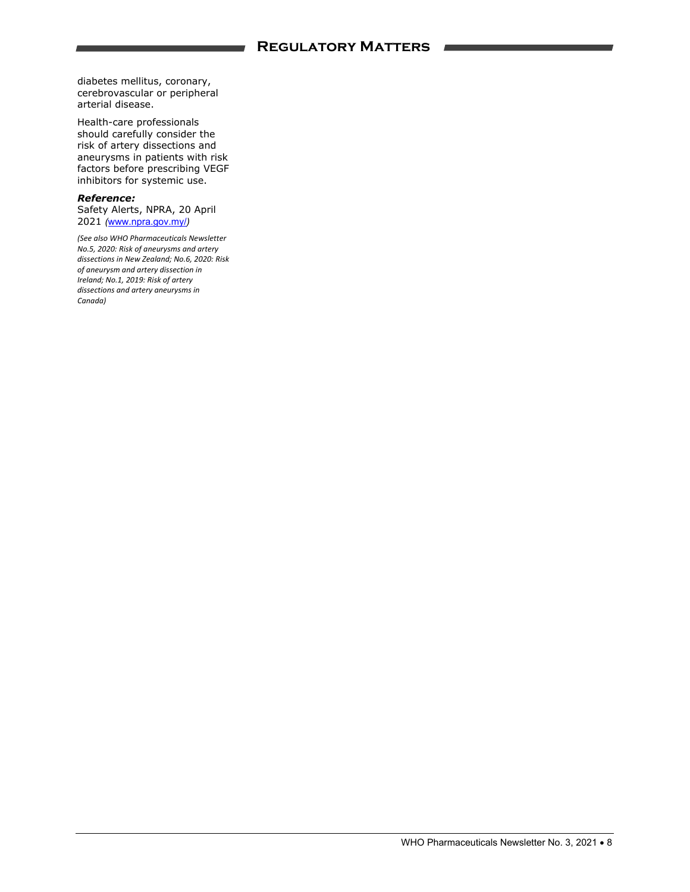diabetes mellitus, coronary, cerebrovascular or peripheral arterial disease.

Health-care professionals should carefully consider the risk of artery dissections and aneurysms in patients with risk factors before prescribing VEGF inhibitors for systemic use.

#### *Reference:*

Safety Alerts, NPRA, 20 April 2021 *(*www.npra.gov.my/*)* 

*(See also WHO Pharmaceuticals Newsletter No.5, 2020: Risk of aneurysms and artery dissections in New Zealand; No.6, 2020: Risk of aneurysm and artery dissection in Ireland; No.1, 2019: Risk of artery dissections and artery aneurysms in Canada)*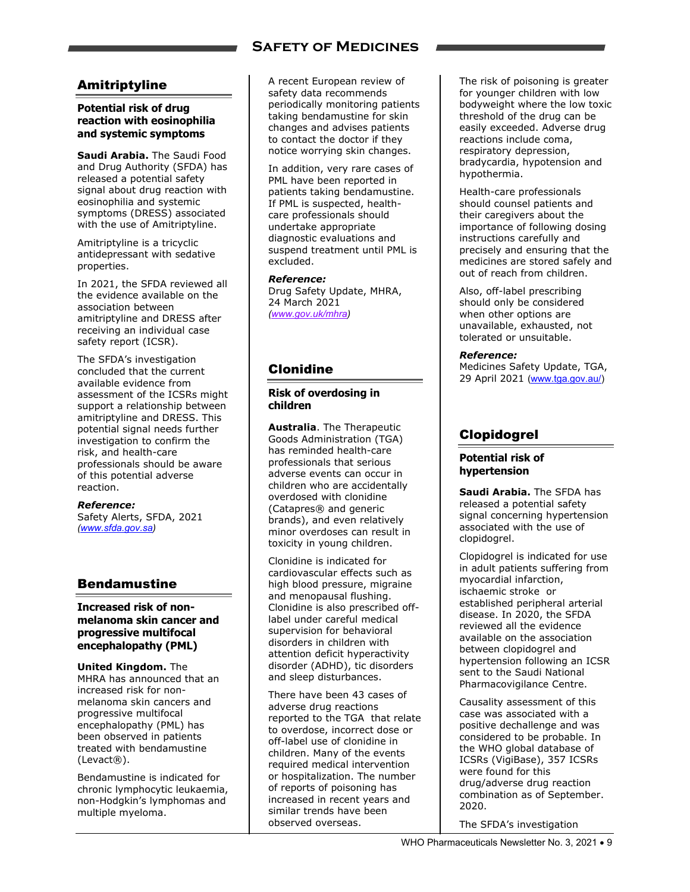### **Safety of Medicines**

### Amitriptyline

### **Potential risk of drug reaction with eosinophilia and systemic symptoms**

**Saudi Arabia.** The Saudi Food and Drug Authority (SFDA) has released a potential safety signal about drug reaction with eosinophilia and systemic symptoms (DRESS) associated with the use of Amitriptyline.

Amitriptyline is a tricyclic antidepressant with sedative properties.

In 2021, the SFDA reviewed all the evidence available on the association between amitriptyline and DRESS after receiving an individual case safety report (ICSR).

The SFDA's investigation concluded that the current available evidence from assessment of the ICSRs might support a relationship between amitriptyline and DRESS. This potential signal needs further investigation to confirm the risk, and health-care professionals should be aware of this potential adverse reaction.

#### *Reference:*

Safety Alerts, SFDA, 2021 *(www.sfda.gov.sa)* 

### Bendamustine

#### **Increased risk of nonmelanoma skin cancer and progressive multifocal encephalopathy (PML)**

**United Kingdom.** The MHRA has announced that an increased risk for nonmelanoma skin cancers and progressive multifocal encephalopathy (PML) has been observed in patients treated with bendamustine (Levact®).

Bendamustine is indicated for chronic lymphocytic leukaemia, non-Hodgkin's lymphomas and multiple myeloma.

A recent European review of safety data recommends periodically monitoring patients taking bendamustine for skin changes and advises patients to contact the doctor if they notice worrying skin changes.

In addition, very rare cases of PML have been reported in patients taking bendamustine. If PML is suspected, healthcare professionals should undertake appropriate diagnostic evaluations and suspend treatment until PML is excluded.

*Reference:*  Drug Safety Update, MHRA, 24 March 2021 *(www.gov.uk/mhra)* 

### Clonidine

#### **Risk of overdosing in children**

**Australia**. The Therapeutic Goods Administration (TGA) has reminded health-care professionals that serious adverse events can occur in children who are accidentally overdosed with clonidine (Catapres® and generic brands), and even relatively minor overdoses can result in toxicity in young children.

Clonidine is indicated for cardiovascular effects such as high blood pressure, migraine and menopausal flushing. Clonidine is also prescribed offlabel under careful medical supervision for behavioral disorders in children with attention deficit hyperactivity disorder (ADHD), tic disorders and sleep disturbances.

There have been 43 cases of adverse drug reactions reported to the TGA that relate to overdose, incorrect dose or off-label use of clonidine in children. Many of the events required medical intervention or hospitalization. The number of reports of poisoning has increased in recent years and similar trends have been observed overseas.

The risk of poisoning is greater for younger children with low bodyweight where the low toxic threshold of the drug can be easily exceeded. Adverse drug reactions include coma, respiratory depression, bradycardia, hypotension and hypothermia.

Health-care professionals should counsel patients and their caregivers about the importance of following dosing instructions carefully and precisely and ensuring that the medicines are stored safely and out of reach from children.

Also, off-label prescribing should only be considered when other options are unavailable, exhausted, not tolerated or unsuitable.

#### *Reference:*

Medicines Safety Update, TGA, 29 April 2021 (www.tga.gov.au/)

### Clopidogrel

#### **Potential risk of hypertension**

**Saudi Arabia.** The SFDA has released a potential safety signal concerning hypertension associated with the use of clopidogrel.

Clopidogrel is indicated for use in adult patients suffering from myocardial infarction, ischaemic stroke or established peripheral arterial disease. In 2020, the SFDA reviewed all the evidence available on the association between clopidogrel and hypertension following an ICSR sent to the Saudi National Pharmacovigilance Centre.

Causality assessment of this case was associated with a positive dechallenge and was considered to be probable. In the WHO global database of ICSRs (VigiBase), 357 ICSRs were found for this drug/adverse drug reaction combination as of September. 2020.

The SFDA's investigation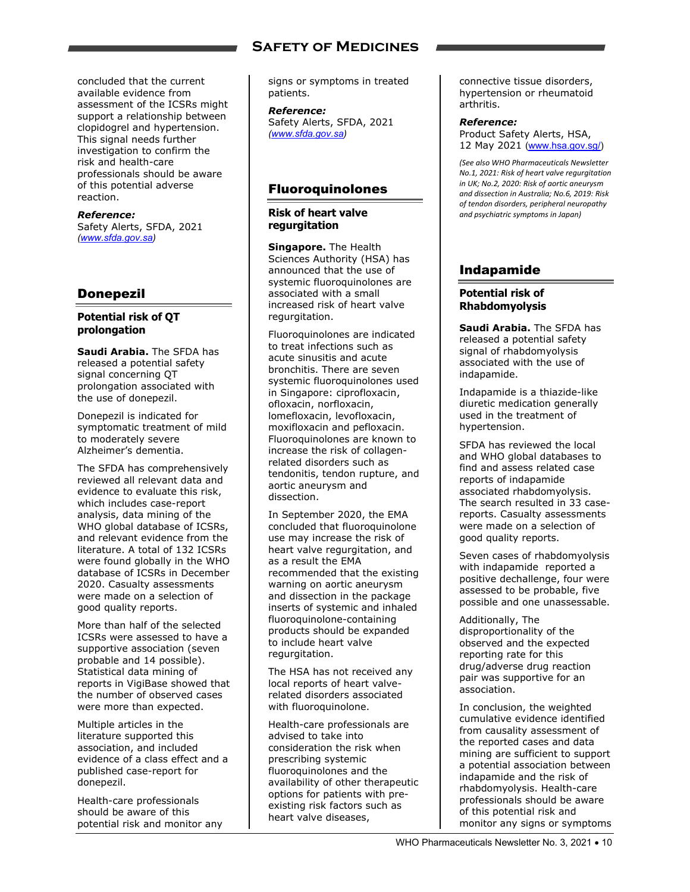### **Safety of Medicines**

concluded that the current available evidence from assessment of the ICSRs might support a relationship between clopidogrel and hypertension. This signal needs further investigation to confirm the risk and health-care professionals should be aware of this potential adverse reaction.

#### *Reference:*

Safety Alerts, SFDA, 2021 *(www.sfda.gov.sa)* 

### Donepezil

#### **Potential risk of QT prolongation**

**Saudi Arabia.** The SFDA has released a potential safety signal concerning QT prolongation associated with the use of donepezil.

Donepezil is indicated for symptomatic treatment of mild to moderately severe Alzheimer's dementia.

The SFDA has comprehensively reviewed all relevant data and evidence to evaluate this risk, which includes case-report analysis, data mining of the WHO global database of ICSRs, and relevant evidence from the literature. A total of 132 ICSRs were found globally in the WHO database of ICSRs in December 2020. Casualty assessments were made on a selection of good quality reports.

More than half of the selected ICSRs were assessed to have a supportive association (seven probable and 14 possible). Statistical data mining of reports in VigiBase showed that the number of observed cases were more than expected.

Multiple articles in the literature supported this association, and included evidence of a class effect and a published case-report for donepezil.

Health-care professionals should be aware of this potential risk and monitor any signs or symptoms in treated patients.

*Reference:*  Safety Alerts, SFDA, 2021 *(www.sfda.gov.sa)* 

### Fluoroquinolones

**Risk of heart valve regurgitation** 

**Singapore.** The Health Sciences Authority (HSA) has announced that the use of systemic fluoroquinolones are associated with a small increased risk of heart valve regurgitation.

Fluoroquinolones are indicated to treat infections such as acute sinusitis and acute bronchitis. There are seven systemic fluoroquinolones used in Singapore: ciprofloxacin, ofloxacin, norfloxacin, lomefloxacin, levofloxacin, moxifloxacin and pefloxacin. Fluoroquinolones are known to increase the risk of collagenrelated disorders such as tendonitis, tendon rupture, and aortic aneurysm and dissection.

In September 2020, the EMA concluded that fluoroquinolone use may increase the risk of heart valve regurgitation, and as a result the EMA recommended that the existing warning on aortic aneurysm and dissection in the package inserts of systemic and inhaled fluoroquinolone-containing products should be expanded to include heart valve regurgitation.

The HSA has not received any local reports of heart valverelated disorders associated with fluoroquinolone.

Health-care professionals are advised to take into consideration the risk when prescribing systemic fluoroquinolones and the availability of other therapeutic options for patients with preexisting risk factors such as heart valve diseases,

connective tissue disorders, hypertension or rheumatoid arthritis.

### *Reference:*  Product Safety Alerts, HSA,

12 May 2021 (www.hsa.gov.sg/) *(See also WHO Pharmaceuticals Newsletter No.1, 2021: Risk of heart valve regurgitation*

*in UK; No.2, 2020: Risk of aortic aneurysm and dissection in Australia; No.6, 2019: Risk of tendon disorders, peripheral neuropathy and psychiatric symptoms in Japan)*

### Indapamide

### **Potential risk of Rhabdomyolysis**

**Saudi Arabia.** The SFDA has released a potential safety signal of rhabdomyolysis associated with the use of indapamide.

Indapamide is a thiazide-like diuretic medication generally used in the treatment of hypertension.

SFDA has reviewed the local and WHO global databases to find and assess related case reports of indapamide associated rhabdomyolysis. The search resulted in 33 casereports. Casualty assessments were made on a selection of good quality reports.

Seven cases of rhabdomyolysis with indapamide reported a positive dechallenge, four were assessed to be probable, five possible and one unassessable.

Additionally, The disproportionality of the observed and the expected reporting rate for this drug/adverse drug reaction pair was supportive for an association.

In conclusion, the weighted cumulative evidence identified from causality assessment of the reported cases and data mining are sufficient to support a potential association between indapamide and the risk of rhabdomyolysis. Health-care professionals should be aware of this potential risk and monitor any signs or symptoms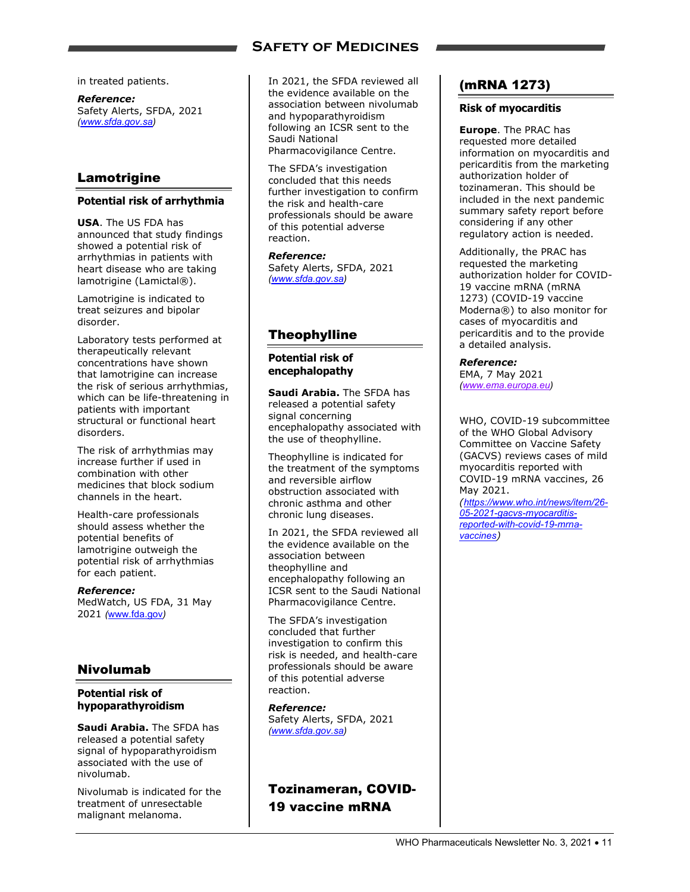### **Safety of Medicines**

in treated patients.

*Reference:*  Safety Alerts, SFDA, 2021 *(www.sfda.gov.sa)* 

### Lamotrigine

### **Potential risk of arrhythmia**

**USA**. The US FDA has announced that study findings showed a potential risk of arrhythmias in patients with heart disease who are taking lamotrigine (Lamictal®).

Lamotrigine is indicated to treat seizures and bipolar disorder.

Laboratory tests performed at therapeutically relevant concentrations have shown that lamotrigine can increase the risk of serious arrhythmias, which can be life-threatening in patients with important structural or functional heart disorders.

The risk of arrhythmias may increase further if used in combination with other medicines that block sodium channels in the heart.

Health-care professionals should assess whether the potential benefits of lamotrigine outweigh the potential risk of arrhythmias for each patient.

*Reference:*  MedWatch, US FDA, 31 May 2021 *(*www.fda.gov*)*

### Nivolumab

### **Potential risk of hypoparathyroidism**

**Saudi Arabia.** The SFDA has released a potential safety signal of hypoparathyroidism associated with the use of nivolumab.

Nivolumab is indicated for the treatment of unresectable malignant melanoma.

In 2021, the SFDA reviewed all the evidence available on the association between nivolumab and hypoparathyroidism following an ICSR sent to the Saudi National Pharmacovigilance Centre.

The SFDA's investigation concluded that this needs further investigation to confirm the risk and health-care professionals should be aware of this potential adverse reaction.

*Reference:*  Safety Alerts, SFDA, 2021 *(www.sfda.gov.sa)* 

### Theophylline

**Potential risk of encephalopathy** 

**Saudi Arabia.** The SFDA has released a potential safety signal concerning encephalopathy associated with the use of theophylline.

Theophylline is indicated for the treatment of the symptoms and reversible airflow obstruction associated with chronic asthma and other chronic lung diseases.

In 2021, the SFDA reviewed all the evidence available on the association between theophylline and encephalopathy following an ICSR sent to the Saudi National Pharmacovigilance Centre.

The SFDA's investigation concluded that further investigation to confirm this risk is needed, and health-care professionals should be aware of this potential adverse reaction.

### *Reference:*

Safety Alerts, SFDA, 2021 *(www.sfda.gov.sa)* 

Tozinameran, COVID-19 vaccine mRNA

### (mRNA 1273)

### **Risk of myocarditis**

**Europe**. The PRAC has requested more detailed information on myocarditis and pericarditis from the marketing authorization holder of tozinameran. This should be included in the next pandemic summary safety report before considering if any other regulatory action is needed.

Additionally, the PRAC has requested the marketing authorization holder for COVID-19 vaccine mRNA (mRNA 1273) (COVID-19 vaccine Moderna®) to also monitor for cases of myocarditis and pericarditis and to the provide a detailed analysis.

*Reference:*  EMA, 7 May 2021 *(www.ema.europa.eu)* 

WHO, COVID-19 subcommittee of the WHO Global Advisory Committee on Vaccine Safety (GACVS) reviews cases of mild myocarditis reported with COVID-19 mRNA vaccines, 26 May 2021.

*(https://www.who.int/news/item/26- 05-2021-gacvs-myocarditisreported-with-covid-19-mrnavaccines)*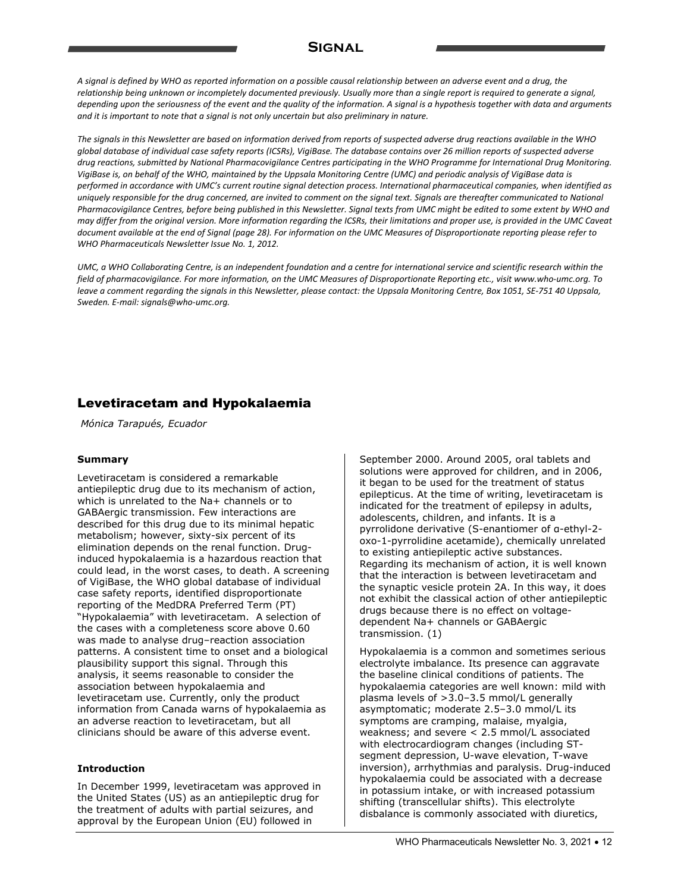### **Signal**

A signal is defined by WHO as reported information on a possible causal relationship between an adverse event and a drug, the relationship being unknown or incompletely documented previously. Usually more than a single report is required to generate a signal, depending upon the seriousness of the event and the quality of the information. A signal is a hypothesis together with data and arguments *and it is important to note that a signal is not only uncertain but also preliminary in nature.*

The signals in this Newsletter are based on information derived from reports of suspected adverse drug reactions available in the WHO global database of individual case safety reports (ICSRs), VigiBase. The database contains over 26 million reports of suspected adverse drug reactions, submitted by National Pharmacovigilance Centres participating in the WHO Programme for International Drug Monitoring. VigiBase is, on behalf of the WHO, maintained by the Uppsala Monitoring Centre (UMC) and periodic analysis of VigiBase data is performed in accordance with UMC's current routine signal detection process. International pharmaceutical companies, when identified as uniquely responsible for the drug concerned, are invited to comment on the signal text. Signals are thereafter communicated to National Pharmacovigilance Centres, before being published in this Newsletter. Signal texts from UMC might be edited to some extent by WHO and may differ from the original version. More information regarding the ICSRs, their limitations and proper use, is provided in the UMC Caveat document available at the end of Signal (page 28). For information on the UMC Measures of Disproportionate reporting please refer to *WHO Pharmaceuticals Newsletter Issue No. 1, 2012.*

UMC, a WHO Collaborating Centre, is an independent foundation and a centre for international service and scientific research within the field of pharmacovigilance. For more information, on the UMC Measures of Disproportionate Reporting etc., visit www.who-umc.org. To leave a comment regarding the signals in this Newsletter, please contact: the Uppsala Monitoring Centre, Box 1051, SE-751 40 Uppsala, *Sweden. E‐mail: signals@who‐umc.org.*

### Levetiracetam and Hypokalaemia

 *Mónica Tarapués, Ecuador*

### **Summary**

Levetiracetam is considered a remarkable antiepileptic drug due to its mechanism of action, which is unrelated to the Na+ channels or to GABAergic transmission. Few interactions are described for this drug due to its minimal hepatic metabolism; however, sixty-six percent of its elimination depends on the renal function. Druginduced hypokalaemia is a hazardous reaction that could lead, in the worst cases, to death. A screening of VigiBase, the WHO global database of individual case safety reports, identified disproportionate reporting of the MedDRA Preferred Term (PT) "Hypokalaemia" with levetiracetam. A selection of the cases with a completeness score above 0.60 was made to analyse drug–reaction association patterns. A consistent time to onset and a biological plausibility support this signal. Through this analysis, it seems reasonable to consider the association between hypokalaemia and levetiracetam use. Currently, only the product information from Canada warns of hypokalaemia as an adverse reaction to levetiracetam, but all clinicians should be aware of this adverse event.

### **Introduction**

In December 1999, levetiracetam was approved in the United States (US) as an antiepileptic drug for the treatment of adults with partial seizures, and approval by the European Union (EU) followed in

September 2000. Around 2005, oral tablets and solutions were approved for children, and in 2006, it began to be used for the treatment of status epilepticus. At the time of writing, levetiracetam is indicated for the treatment of epilepsy in adults, adolescents, children, and infants. It is a pyrrolidone derivative (S-enantiomer of α-ethyl-2 oxo-1-pyrrolidine acetamide), chemically unrelated to existing antiepileptic active substances. Regarding its mechanism of action, it is well known that the interaction is between levetiracetam and the synaptic vesicle protein 2A. In this way, it does not exhibit the classical action of other antiepileptic drugs because there is no effect on voltagedependent Na+ channels or GABAergic transmission. (1)

Hypokalaemia is a common and sometimes serious electrolyte imbalance. Its presence can aggravate the baseline clinical conditions of patients. The hypokalaemia categories are well known: mild with plasma levels of >3.0–3.5 mmol/L generally asymptomatic; moderate 2.5–3.0 mmol/L its symptoms are cramping, malaise, myalgia, weakness; and severe < 2.5 mmol/L associated with electrocardiogram changes (including STsegment depression, U-wave elevation, T-wave inversion), arrhythmias and paralysis. Drug-induced hypokalaemia could be associated with a decrease in potassium intake, or with increased potassium shifting (transcellular shifts). This electrolyte disbalance is commonly associated with diuretics,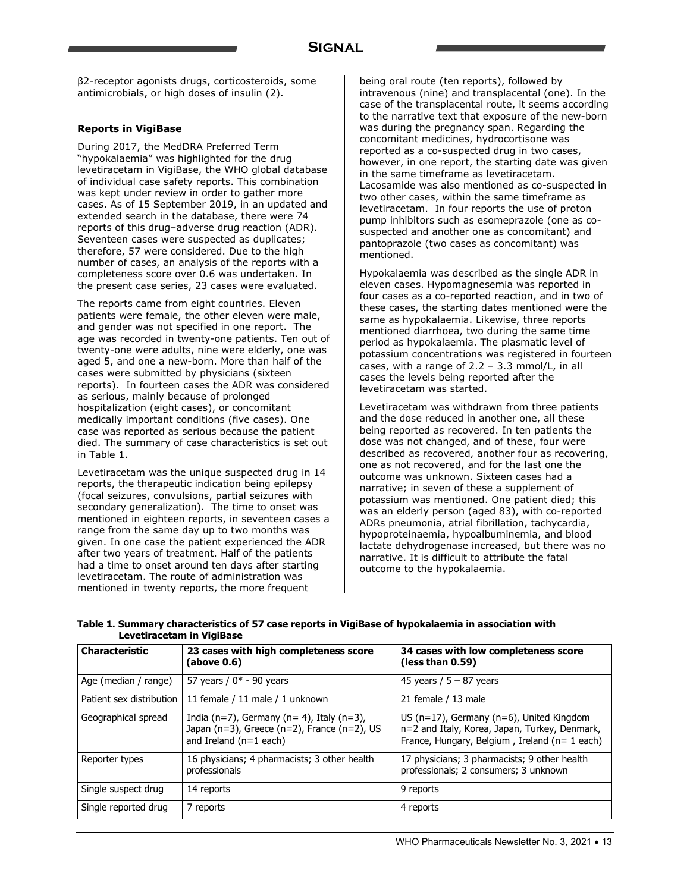β2-receptor agonists drugs, corticosteroids, some antimicrobials, or high doses of insulin (2).

### **Reports in VigiBase**

During 2017, the MedDRA Preferred Term "hypokalaemia" was highlighted for the drug levetiracetam in VigiBase, the WHO global database of individual case safety reports. This combination was kept under review in order to gather more cases. As of 15 September 2019, in an updated and extended search in the database, there were 74 reports of this drug–adverse drug reaction (ADR). Seventeen cases were suspected as duplicates; therefore, 57 were considered. Due to the high number of cases, an analysis of the reports with a completeness score over 0.6 was undertaken. In the present case series, 23 cases were evaluated.

The reports came from eight countries. Eleven patients were female, the other eleven were male, and gender was not specified in one report. The age was recorded in twenty-one patients. Ten out of twenty-one were adults, nine were elderly, one was aged 5, and one a new-born. More than half of the cases were submitted by physicians (sixteen reports). In fourteen cases the ADR was considered as serious, mainly because of prolonged hospitalization (eight cases), or concomitant medically important conditions (five cases). One case was reported as serious because the patient died. The summary of case characteristics is set out in Table 1.

Levetiracetam was the unique suspected drug in 14 reports, the therapeutic indication being epilepsy (focal seizures, convulsions, partial seizures with secondary generalization). The time to onset was mentioned in eighteen reports, in seventeen cases a range from the same day up to two months was given. In one case the patient experienced the ADR after two years of treatment. Half of the patients had a time to onset around ten days after starting levetiracetam. The route of administration was mentioned in twenty reports, the more frequent

being oral route (ten reports), followed by intravenous (nine) and transplacental (one). In the case of the transplacental route, it seems according to the narrative text that exposure of the new-born was during the pregnancy span. Regarding the concomitant medicines, hydrocortisone was reported as a co-suspected drug in two cases, however, in one report, the starting date was given in the same timeframe as levetiracetam. Lacosamide was also mentioned as co-suspected in two other cases, within the same timeframe as levetiracetam. In four reports the use of proton pump inhibitors such as esomeprazole (one as cosuspected and another one as concomitant) and pantoprazole (two cases as concomitant) was mentioned.

Hypokalaemia was described as the single ADR in eleven cases. Hypomagnesemia was reported in four cases as a co-reported reaction, and in two of these cases, the starting dates mentioned were the same as hypokalaemia. Likewise, three reports mentioned diarrhoea, two during the same time period as hypokalaemia. The plasmatic level of potassium concentrations was registered in fourteen cases, with a range of 2.2 – 3.3 mmol/L, in all cases the levels being reported after the levetiracetam was started.

Levetiracetam was withdrawn from three patients and the dose reduced in another one, all these being reported as recovered. In ten patients the dose was not changed, and of these, four were described as recovered, another four as recovering, one as not recovered, and for the last one the outcome was unknown. Sixteen cases had a narrative; in seven of these a supplement of potassium was mentioned. One patient died; this was an elderly person (aged 83), with co-reported ADRs pneumonia, atrial fibrillation, tachycardia, hypoproteinaemia, hypoalbuminemia, and blood lactate dehydrogenase increased, but there was no narrative. It is difficult to attribute the fatal outcome to the hypokalaemia.

| Levetiracetam in VigiBase |                                                        |                                                             |
|---------------------------|--------------------------------------------------------|-------------------------------------------------------------|
| Characteristic            | 23 cases with high completeness score<br>l (above 0.6) | 34 cases with low completeness score<br>(less than $0.59$ ) |

**Table 1. Summary characteristics of 57 case reports in VigiBase of hypokalaemia in association with** 

| unaraultholiu            | 23 Cases With Ingh Completeness score<br>(above 0.6)                                                                 | <b>34 Cases With IOW Completeness score</b><br>(less than $0.59$ )                                                                                   |
|--------------------------|----------------------------------------------------------------------------------------------------------------------|------------------------------------------------------------------------------------------------------------------------------------------------------|
| Age (median / range)     | 57 years / $0*$ - 90 years                                                                                           | 45 years / $5 - 87$ years                                                                                                                            |
| Patient sex distribution | 11 female / 11 male / 1 unknown                                                                                      | 21 female / 13 male                                                                                                                                  |
| Geographical spread      | India (n=7), Germany (n= 4), Italy (n=3),<br>Japan (n=3), Greece (n=2), France (n=2), US<br>and Ireland $(n=1$ each) | US ( $n=17$ ), Germany ( $n=6$ ), United Kingdom<br>n=2 and Italy, Korea, Japan, Turkey, Denmark,<br>France, Hungary, Belgium, Ireland ( $n=1$ each) |
| Reporter types           | 16 physicians; 4 pharmacists; 3 other health<br>professionals                                                        | 17 physicians; 3 pharmacists; 9 other health<br>professionals; 2 consumers; 3 unknown                                                                |
| Single suspect drug      | 14 reports                                                                                                           | 9 reports                                                                                                                                            |
| Single reported drug     | 7 reports                                                                                                            | 4 reports                                                                                                                                            |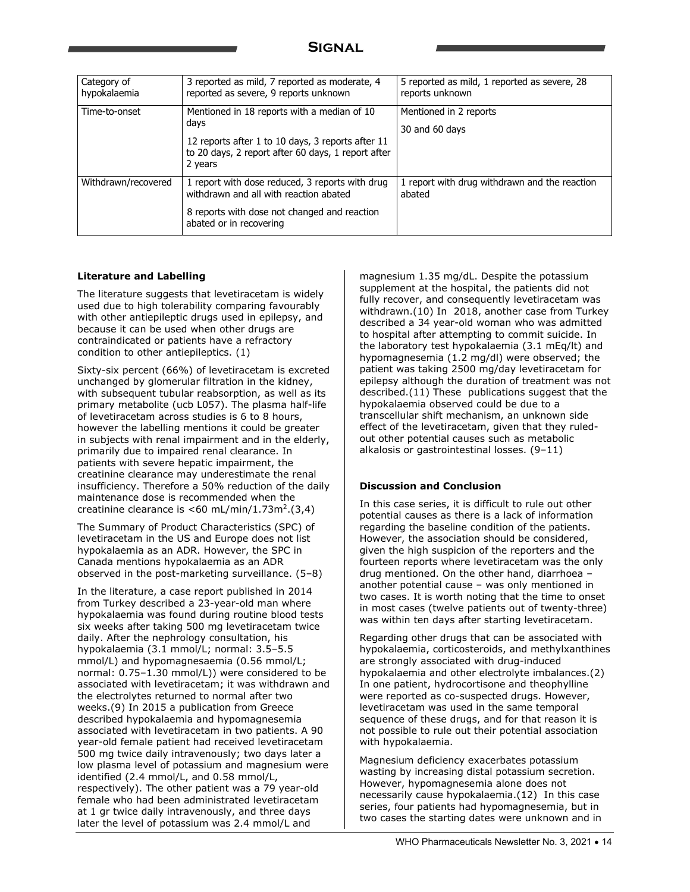| Category of<br>hypokalaemia | 3 reported as mild, 7 reported as moderate, 4<br>reported as severe, 9 reports unknown                                                                                    | 5 reported as mild, 1 reported as severe, 28<br>reports unknown |
|-----------------------------|---------------------------------------------------------------------------------------------------------------------------------------------------------------------------|-----------------------------------------------------------------|
| Time-to-onset               | Mentioned in 18 reports with a median of 10<br>days<br>12 reports after 1 to 10 days, 3 reports after 11<br>to 20 days, 2 report after 60 days, 1 report after<br>2 years | Mentioned in 2 reports<br>30 and 60 days                        |
| Withdrawn/recovered         | 1 report with dose reduced, 3 reports with drug<br>withdrawn and all with reaction abated<br>8 reports with dose not changed and reaction<br>abated or in recovering      | 1 report with drug withdrawn and the reaction<br>abated         |

### **Literature and Labelling**

The literature suggests that levetiracetam is widely used due to high tolerability comparing favourably with other antiepileptic drugs used in epilepsy, and because it can be used when other drugs are contraindicated or patients have a refractory condition to other antiepileptics. (1)

Sixty-six percent (66%) of levetiracetam is excreted unchanged by glomerular filtration in the kidney, with subsequent tubular reabsorption, as well as its primary metabolite (ucb L057). The plasma half-life of levetiracetam across studies is 6 to 8 hours, however the labelling mentions it could be greater in subjects with renal impairment and in the elderly, primarily due to impaired renal clearance. In patients with severe hepatic impairment, the creatinine clearance may underestimate the renal insufficiency. Therefore a 50% reduction of the daily maintenance dose is recommended when the creatinine clearance is  $<$  60 mL/min/1.73m<sup>2</sup>.(3,4)

The Summary of Product Characteristics (SPC) of levetiracetam in the US and Europe does not list hypokalaemia as an ADR. However, the SPC in Canada mentions hypokalaemia as an ADR observed in the post-marketing surveillance. (5–8)

In the literature, a case report published in 2014 from Turkey described a 23-year-old man where hypokalaemia was found during routine blood tests six weeks after taking 500 mg levetiracetam twice daily. After the nephrology consultation, his hypokalaemia (3.1 mmol/L; normal: 3.5–5.5 mmol/L) and hypomagnesaemia (0.56 mmol/L; normal: 0.75–1.30 mmol/L)) were considered to be associated with levetiracetam; it was withdrawn and the electrolytes returned to normal after two weeks.(9) In 2015 a publication from Greece described hypokalaemia and hypomagnesemia associated with levetiracetam in two patients. A 90 year-old female patient had received levetiracetam 500 mg twice daily intravenously; two days later a low plasma level of potassium and magnesium were identified (2.4 mmol/L, and 0.58 mmol/L, respectively). The other patient was a 79 year-old female who had been administrated levetiracetam at 1 gr twice daily intravenously, and three days later the level of potassium was 2.4 mmol/L and

magnesium 1.35 mg/dL. Despite the potassium supplement at the hospital, the patients did not fully recover, and consequently levetiracetam was withdrawn.(10) In 2018, another case from Turkey described a 34 year-old woman who was admitted to hospital after attempting to commit suicide. In the laboratory test hypokalaemia (3.1 mEq/lt) and hypomagnesemia (1.2 mg/dl) were observed; the patient was taking 2500 mg/day levetiracetam for epilepsy although the duration of treatment was not described.(11) These publications suggest that the hypokalaemia observed could be due to a transcellular shift mechanism, an unknown side effect of the levetiracetam, given that they ruledout other potential causes such as metabolic alkalosis or gastrointestinal losses. (9–11)

### **Discussion and Conclusion**

In this case series, it is difficult to rule out other potential causes as there is a lack of information regarding the baseline condition of the patients. However, the association should be considered, given the high suspicion of the reporters and the fourteen reports where levetiracetam was the only drug mentioned. On the other hand, diarrhoea – another potential cause – was only mentioned in two cases. It is worth noting that the time to onset in most cases (twelve patients out of twenty-three) was within ten days after starting levetiracetam.

Regarding other drugs that can be associated with hypokalaemia, corticosteroids, and methylxanthines are strongly associated with drug-induced hypokalaemia and other electrolyte imbalances.(2) In one patient, hydrocortisone and theophylline were reported as co-suspected drugs. However, levetiracetam was used in the same temporal sequence of these drugs, and for that reason it is not possible to rule out their potential association with hypokalaemia.

Magnesium deficiency exacerbates potassium wasting by increasing distal potassium secretion. However, hypomagnesemia alone does not necessarily cause hypokalaemia.(12) In this case series, four patients had hypomagnesemia, but in two cases the starting dates were unknown and in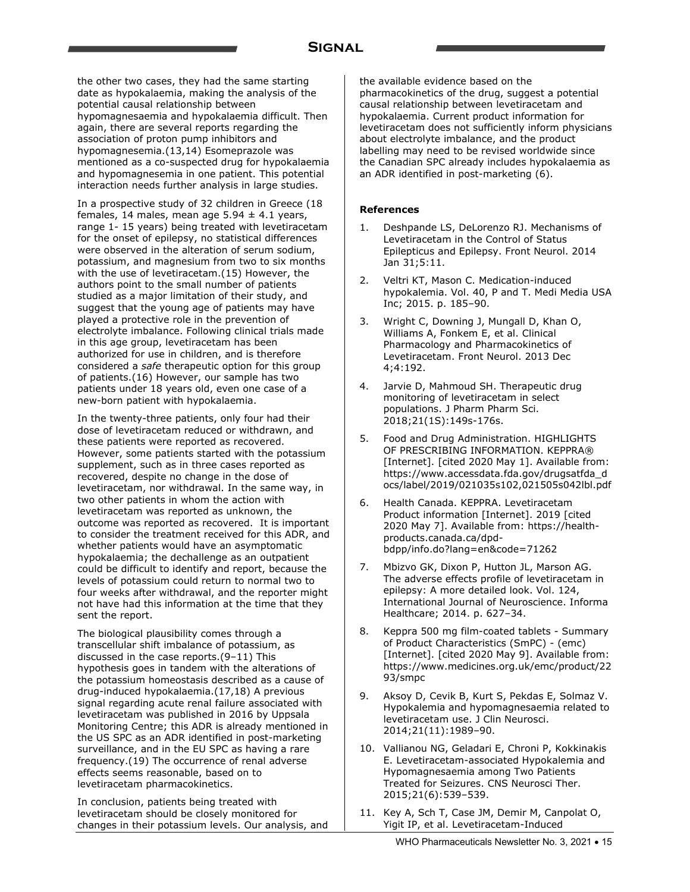the other two cases, they had the same starting date as hypokalaemia, making the analysis of the potential causal relationship between hypomagnesaemia and hypokalaemia difficult. Then again, there are several reports regarding the association of proton pump inhibitors and hypomagnesemia.(13,14) Esomeprazole was mentioned as a co-suspected drug for hypokalaemia and hypomagnesemia in one patient. This potential interaction needs further analysis in large studies.

In a prospective study of 32 children in Greece (18 females, 14 males, mean age  $5.94 \pm 4.1$  years, range 1- 15 years) being treated with levetiracetam for the onset of epilepsy, no statistical differences were observed in the alteration of serum sodium, potassium, and magnesium from two to six months with the use of levetiracetam.(15) However, the authors point to the small number of patients studied as a major limitation of their study, and suggest that the young age of patients may have played a protective role in the prevention of electrolyte imbalance. Following clinical trials made in this age group, levetiracetam has been authorized for use in children, and is therefore considered a *safe* therapeutic option for this group of patients.(16) However, our sample has two patients under 18 years old, even one case of a new-born patient with hypokalaemia.

In the twenty-three patients, only four had their dose of levetiracetam reduced or withdrawn, and these patients were reported as recovered. However, some patients started with the potassium supplement, such as in three cases reported as recovered, despite no change in the dose of levetiracetam, nor withdrawal. In the same way, in two other patients in whom the action with levetiracetam was reported as unknown, the outcome was reported as recovered. It is important to consider the treatment received for this ADR, and whether patients would have an asymptomatic hypokalaemia; the dechallenge as an outpatient could be difficult to identify and report, because the levels of potassium could return to normal two to four weeks after withdrawal, and the reporter might not have had this information at the time that they sent the report.

The biological plausibility comes through a transcellular shift imbalance of potassium, as discussed in the case reports.(9–11) This hypothesis goes in tandem with the alterations of the potassium homeostasis described as a cause of drug-induced hypokalaemia.(17,18) A previous signal regarding acute renal failure associated with levetiracetam was published in 2016 by Uppsala Monitoring Centre; this ADR is already mentioned in the US SPC as an ADR identified in post-marketing surveillance, and in the EU SPC as having a rare frequency.(19) The occurrence of renal adverse effects seems reasonable, based on to levetiracetam pharmacokinetics.

In conclusion, patients being treated with levetiracetam should be closely monitored for changes in their potassium levels. Our analysis, and the available evidence based on the pharmacokinetics of the drug, suggest a potential causal relationship between levetiracetam and hypokalaemia. Current product information for levetiracetam does not sufficiently inform physicians about electrolyte imbalance, and the product labelling may need to be revised worldwide since the Canadian SPC already includes hypokalaemia as an ADR identified in post-marketing (6).

#### **References**

- 1. Deshpande LS, DeLorenzo RJ. Mechanisms of Levetiracetam in the Control of Status Epilepticus and Epilepsy. Front Neurol. 2014 Jan 31;5:11.
- 2. Veltri KT, Mason C. Medication-induced hypokalemia. Vol. 40, P and T. Medi Media USA Inc; 2015. p. 185–90.
- 3. Wright C, Downing J, Mungall D, Khan O, Williams A, Fonkem E, et al. Clinical Pharmacology and Pharmacokinetics of Levetiracetam. Front Neurol. 2013 Dec 4;4:192.
- 4. Jarvie D, Mahmoud SH. Therapeutic drug monitoring of levetiracetam in select populations. J Pharm Pharm Sci. 2018;21(1S):149s-176s.
- 5. Food and Drug Administration. HIGHLIGHTS OF PRESCRIBING INFORMATION. KEPPRA® [Internet]. [cited 2020 May 1]. Available from: https://www.accessdata.fda.gov/drugsatfda\_d ocs/label/2019/021035s102,021505s042lbl.pdf
- 6. Health Canada. KEPPRA. Levetiracetam Product information [Internet]. 2019 [cited 2020 May 7]. Available from: https://healthproducts.canada.ca/dpdbdpp/info.do?lang=en&code=71262
- 7. Mbizvo GK, Dixon P, Hutton JL, Marson AG. The adverse effects profile of levetiracetam in epilepsy: A more detailed look. Vol. 124, International Journal of Neuroscience. Informa Healthcare; 2014. p. 627–34.
- 8. Keppra 500 mg film-coated tablets Summary of Product Characteristics (SmPC) - (emc) [Internet]. [cited 2020 May 9]. Available from: https://www.medicines.org.uk/emc/product/22 93/smpc
- 9. Aksoy D, Cevik B, Kurt S, Pekdas E, Solmaz V. Hypokalemia and hypomagnesaemia related to levetiracetam use. J Clin Neurosci. 2014;21(11):1989–90.
- 10. Vallianou NG, Geladari E, Chroni P, Kokkinakis E. Levetiracetam-associated Hypokalemia and Hypomagnesaemia among Two Patients Treated for Seizures. CNS Neurosci Ther. 2015;21(6):539–539.
- 11. Key A, Sch T, Case JM, Demir M, Canpolat O, Yigit IP, et al. Levetiracetam-Induced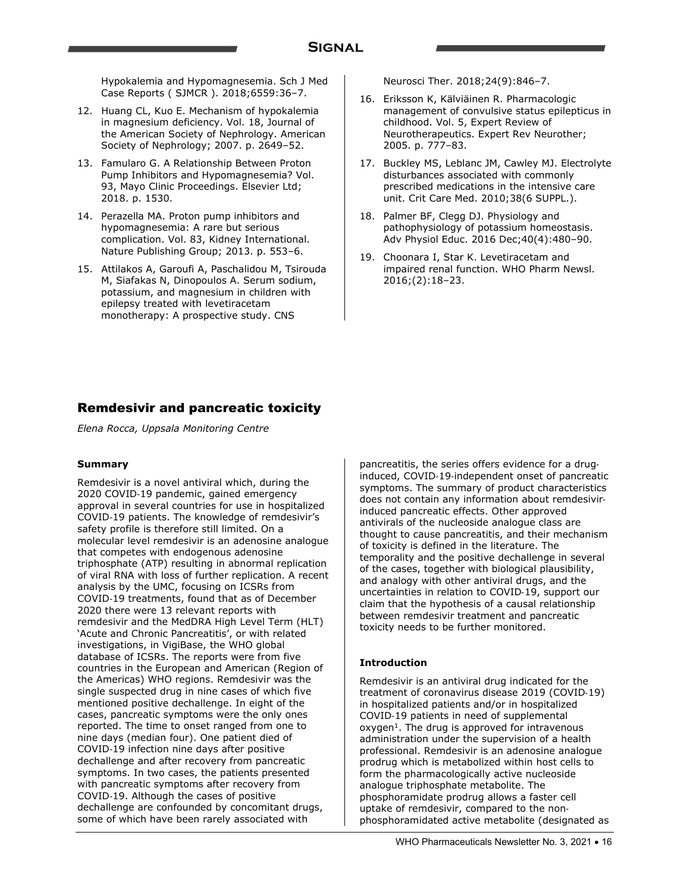Hypokalemia and Hypomagnesemia. Sch J Med Case Reports ( SJMCR ). 2018;6559:36–7.

- 12. Huang CL, Kuo E. Mechanism of hypokalemia in magnesium deficiency. Vol. 18, Journal of the American Society of Nephrology. American Society of Nephrology; 2007. p. 2649–52.
- 13. Famularo G. A Relationship Between Proton Pump Inhibitors and Hypomagnesemia? Vol. 93, Mayo Clinic Proceedings. Elsevier Ltd; 2018. p. 1530.
- 14. Perazella MA. Proton pump inhibitors and hypomagnesemia: A rare but serious complication. Vol. 83, Kidney International. Nature Publishing Group; 2013. p. 553–6.
- 15. Attilakos A, Garoufi A, Paschalidou M, Tsirouda M, Siafakas N, Dinopoulos A. Serum sodium, potassium, and magnesium in children with epilepsy treated with levetiracetam monotherapy: A prospective study. CNS

Neurosci Ther. 2018;24(9):846–7.

- 16. Eriksson K, Kälviäinen R. Pharmacologic management of convulsive status epilepticus in childhood. Vol. 5, Expert Review of Neurotherapeutics. Expert Rev Neurother; 2005. p. 777–83.
- 17. Buckley MS, Leblanc JM, Cawley MJ. Electrolyte disturbances associated with commonly prescribed medications in the intensive care unit. Crit Care Med. 2010;38(6 SUPPL.).
- 18. Palmer BF, Clegg DJ. Physiology and pathophysiology of potassium homeostasis. Adv Physiol Educ. 2016 Dec;40(4):480–90.
- 19. Choonara I, Star K. Levetiracetam and impaired renal function. WHO Pharm Newsl. 2016;(2):18–23.

### Remdesivir and pancreatic toxicity

*Elena Rocca, Uppsala Monitoring Centre*

#### **Summary**

Remdesivir is a novel antiviral which, during the 2020 COVID-19 pandemic, gained emergency approval in several countries for use in hospitalized COVID-19 patients. The knowledge of remdesivir's safety profile is therefore still limited. On a molecular level remdesivir is an adenosine analogue that competes with endogenous adenosine triphosphate (ATP) resulting in abnormal replication of viral RNA with loss of further replication. A recent analysis by the UMC, focusing on ICSRs from COVID-19 treatments, found that as of December 2020 there were 13 relevant reports with remdesivir and the MedDRA High Level Term (HLT) 'Acute and Chronic Pancreatitis', or with related investigations, in VigiBase, the WHO global database of ICSRs. The reports were from five countries in the European and American (Region of the Americas) WHO regions. Remdesivir was the single suspected drug in nine cases of which five mentioned positive dechallenge. In eight of the cases, pancreatic symptoms were the only ones reported. The time to onset ranged from one to nine days (median four). One patient died of COVID-19 infection nine days after positive dechallenge and after recovery from pancreatic symptoms. In two cases, the patients presented with pancreatic symptoms after recovery from COVID-19. Although the cases of positive dechallenge are confounded by concomitant drugs, some of which have been rarely associated with

pancreatitis, the series offers evidence for a druginduced, COVID-19-independent onset of pancreatic symptoms. The summary of product characteristics does not contain any information about remdesivirinduced pancreatic effects. Other approved antivirals of the nucleoside analogue class are thought to cause pancreatitis, and their mechanism of toxicity is defined in the literature. The temporality and the positive dechallenge in several of the cases, together with biological plausibility, and analogy with other antiviral drugs, and the uncertainties in relation to COVID-19, support our claim that the hypothesis of a causal relationship between remdesivir treatment and pancreatic toxicity needs to be further monitored.

### **Introduction**

Remdesivir is an antiviral drug indicated for the treatment of coronavirus disease 2019 (COVID-19) in hospitalized patients and/or in hospitalized COVID-19 patients in need of supplemental oxygen<sup>1</sup>. The drug is approved for intravenous administration under the supervision of a health professional. Remdesivir is an adenosine analogue prodrug which is metabolized within host cells to form the pharmacologically active nucleoside analogue triphosphate metabolite. The phosphoramidate prodrug allows a faster cell uptake of remdesivir, compared to the nonphosphoramidated active metabolite (designated as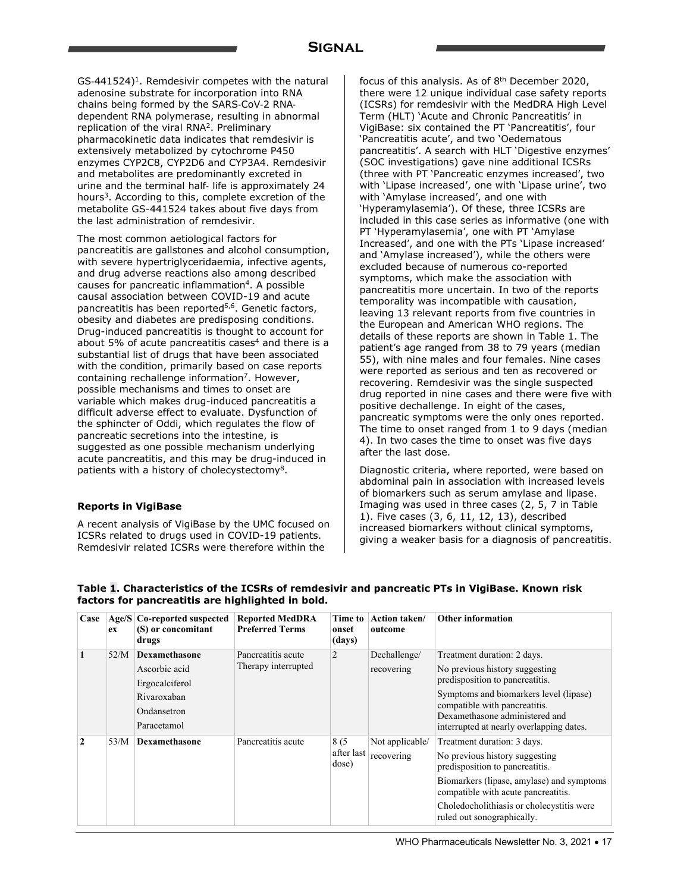$GS-441524$ <sup>1</sup>. Remdesivir competes with the natural adenosine substrate for incorporation into RNA chains being formed by the SARS-CoV-2 RNAdependent RNA polymerase, resulting in abnormal replication of the viral RNA2. Preliminary pharmacokinetic data indicates that remdesivir is extensively metabolized by cytochrome P450 enzymes CYP2C8, CYP2D6 and CYP3A4. Remdesivir and metabolites are predominantly excreted in urine and the terminal half- life is approximately 24 hours<sup>3</sup>. According to this, complete excretion of the metabolite GS-441524 takes about five days from the last administration of remdesivir.

The most common aetiological factors for pancreatitis are gallstones and alcohol consumption, with severe hypertriglyceridaemia, infective agents, and drug adverse reactions also among described causes for pancreatic inflammation4. A possible causal association between COVID-19 and acute pancreatitis has been reported<sup>5,6</sup>. Genetic factors, obesity and diabetes are predisposing conditions. Drug-induced pancreatitis is thought to account for about 5% of acute pancreatitis cases<sup>4</sup> and there is a substantial list of drugs that have been associated with the condition, primarily based on case reports containing rechallenge information<sup>7</sup>. However, possible mechanisms and times to onset are variable which makes drug-induced pancreatitis a difficult adverse effect to evaluate. Dysfunction of the sphincter of Oddi, which regulates the flow of pancreatic secretions into the intestine, is suggested as one possible mechanism underlying acute pancreatitis, and this may be drug-induced in patients with a history of cholecystectomy8.

### **Reports in VigiBase**

A recent analysis of VigiBase by the UMC focused on ICSRs related to drugs used in COVID-19 patients. Remdesivir related ICSRs were therefore within the

focus of this analysis. As of 8<sup>th</sup> December 2020, there were 12 unique individual case safety reports (ICSRs) for remdesivir with the MedDRA High Level Term (HLT) 'Acute and Chronic Pancreatitis' in VigiBase: six contained the PT 'Pancreatitis', four 'Pancreatitis acute', and two 'Oedematous pancreatitis'. A search with HLT 'Digestive enzymes' (SOC investigations) gave nine additional ICSRs (three with PT 'Pancreatic enzymes increased', two with 'Lipase increased', one with 'Lipase urine', two with 'Amylase increased', and one with 'Hyperamylasemia'). Of these, three ICSRs are included in this case series as informative (one with PT 'Hyperamylasemia', one with PT 'Amylase Increased', and one with the PTs 'Lipase increased' and 'Amylase increased'), while the others were excluded because of numerous co-reported symptoms, which make the association with pancreatitis more uncertain. In two of the reports temporality was incompatible with causation, leaving 13 relevant reports from five countries in the European and American WHO regions. The details of these reports are shown in Table 1. The patient's age ranged from 38 to 79 years (median 55), with nine males and four females. Nine cases were reported as serious and ten as recovered or recovering. Remdesivir was the single suspected drug reported in nine cases and there were five with positive dechallenge. In eight of the cases, pancreatic symptoms were the only ones reported. The time to onset ranged from 1 to 9 days (median 4). In two cases the time to onset was five days after the last dose.

Diagnostic criteria, where reported, were based on abdominal pain in association with increased levels of biomarkers such as serum amylase and lipase. Imaging was used in three cases (2, 5, 7 in Table 1). Five cases (3, 6, 11, 12, 13), described increased biomarkers without clinical symptoms, giving a weaker basis for a diagnosis of pancreatitis.

| Case         | Age/S<br>ex | Co-reported suspected<br>(S) or concomitant<br>drugs                                                 | <b>Reported MedDRA</b><br><b>Preferred Terms</b> | Time to<br>onset<br>(days) | <b>Action taken/</b><br>outcome | <b>Other information</b>                                                                                                                                                                                                                                                                                    |
|--------------|-------------|------------------------------------------------------------------------------------------------------|--------------------------------------------------|----------------------------|---------------------------------|-------------------------------------------------------------------------------------------------------------------------------------------------------------------------------------------------------------------------------------------------------------------------------------------------------------|
|              | 52/M        | <b>Dexamethasone</b><br>Ascorbic acid<br>Ergocalciferol<br>Rivaroxaban<br>Ondansetron<br>Paracetamol | Pancreatitis acute<br>Therapy interrupted        | 2                          | Dechallenge/<br>recovering      | Treatment duration: 2 days.<br>No previous history suggesting<br>predisposition to pancreatitis.<br>Symptoms and biomarkers level (lipase)<br>compatible with pancreatitis.<br>Dexamethasone administered and                                                                                               |
| $\mathbf{2}$ | 53/M        | <b>Dexamethasone</b>                                                                                 | Pancreatitis acute                               | 8(5<br>after last<br>dose) | Not applicable/<br>recovering   | interrupted at nearly overlapping dates.<br>Treatment duration: 3 days.<br>No previous history suggesting<br>predisposition to pancreatitis.<br>Biomarkers (lipase, amylase) and symptoms<br>compatible with acute pancreatitis.<br>Choledocholithiasis or cholecystitis were<br>ruled out sonographically. |

**Table 1. Characteristics of the ICSRs of remdesivir and pancreatic PTs in VigiBase. Known risk factors for pancreatitis are highlighted in bold.**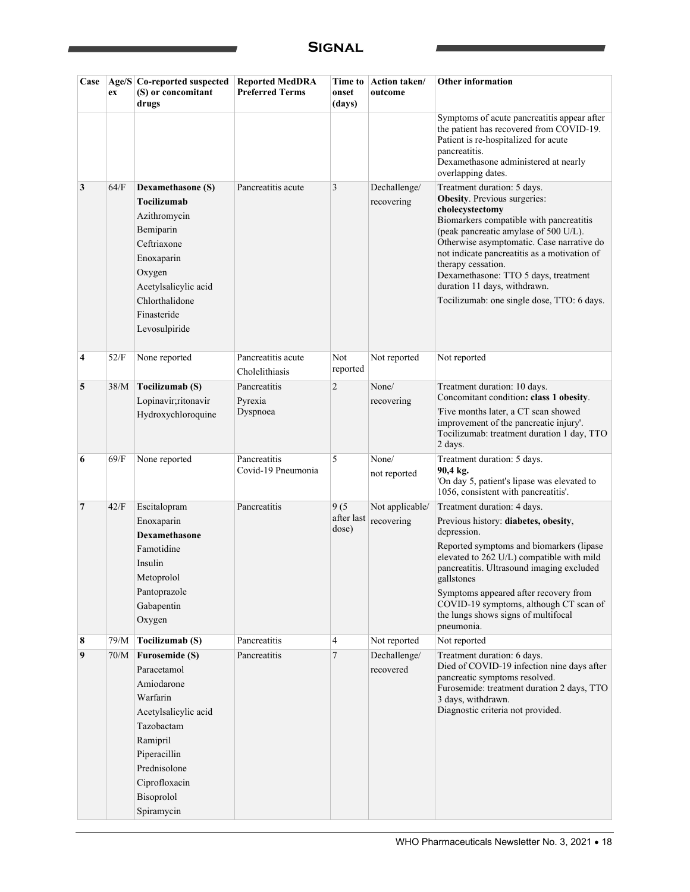| Case           | ex   | Age/S   Co-reported suspected<br>(S) or concomitant<br>drugs                                                                                                                                  | <b>Reported MedDRA</b><br><b>Preferred Terms</b> | Time to<br>onset<br>(days)  | Action taken/<br>outcome      | <b>Other information</b>                                                                                                                                                                                                                                                                                                                                                                                            |
|----------------|------|-----------------------------------------------------------------------------------------------------------------------------------------------------------------------------------------------|--------------------------------------------------|-----------------------------|-------------------------------|---------------------------------------------------------------------------------------------------------------------------------------------------------------------------------------------------------------------------------------------------------------------------------------------------------------------------------------------------------------------------------------------------------------------|
|                |      |                                                                                                                                                                                               |                                                  |                             |                               | Symptoms of acute pancreatitis appear after<br>the patient has recovered from COVID-19.<br>Patient is re-hospitalized for acute<br>pancreatitis.<br>Dexamethasone administered at nearly<br>overlapping dates.                                                                                                                                                                                                      |
| 3              | 64/F | Dexamethasone (S)<br>Tocilizumab<br>Azithromycin<br>Bemiparin<br>Ceftriaxone<br>Enoxaparin<br>Oxygen<br>Acetylsalicylic acid<br>Chlorthalidone<br>Finasteride<br>Levosulpiride                | Pancreatitis acute                               | 3                           | Dechallenge/<br>recovering    | Treatment duration: 5 days.<br><b>Obesity</b> . Previous surgeries:<br>cholecystectomy<br>Biomarkers compatible with pancreatitis<br>(peak pancreatic amylase of 500 U/L).<br>Otherwise asymptomatic. Case narrative do<br>not indicate pancreatitis as a motivation of<br>therapy cessation.<br>Dexamethasone: TTO 5 days, treatment<br>duration 11 days, withdrawn.<br>Tocilizumab: one single dose, TTO: 6 days. |
| 4              | 52/F | None reported                                                                                                                                                                                 | Pancreatitis acute<br>Cholelithiasis             | Not<br>reported             | Not reported                  | Not reported                                                                                                                                                                                                                                                                                                                                                                                                        |
| 5              | 38/M | Tocilizumab (S)<br>Lopinavir;ritonavir<br>Hydroxychloroquine                                                                                                                                  | Pancreatitis<br>Pyrexia<br>Dyspnoea              | 2                           | None/<br>recovering           | Treatment duration: 10 days.<br>Concomitant condition: class 1 obesity.<br>'Five months later, a CT scan showed<br>improvement of the pancreatic injury'.<br>Tocilizumab: treatment duration 1 day, TTO<br>2 days.                                                                                                                                                                                                  |
| 6              | 69/F | None reported                                                                                                                                                                                 | Pancreatitis<br>Covid-19 Pneumonia               | 5                           | None/<br>not reported         | Treatment duration: 5 days.<br>90,4 kg.<br>'On day 5, patient's lipase was elevated to<br>1056, consistent with pancreatitis'.                                                                                                                                                                                                                                                                                      |
| $\overline{7}$ | 42/F | Escitalopram<br>Enoxaparin<br><b>Dexamethasone</b><br>Famotidine<br>Insulin<br>Metoprolol<br>Pantoprazole<br>Gabapentin<br>Oxygen                                                             | Pancreatitis                                     | 9(5)<br>after last<br>dose) | Not applicable/<br>recovering | Treatment duration: 4 days.<br>Previous history: diabetes, obesity,<br>depression.<br>Reported symptoms and biomarkers (lipase<br>elevated to 262 U/L) compatible with mild<br>pancreatitis. Ultrasound imaging excluded<br>gallstones<br>Symptoms appeared after recovery from<br>COVID-19 symptoms, although CT scan of<br>the lungs shows signs of multifocal<br>pneumonia.                                      |
| 8              | 79/M | Tocilizumab (S)                                                                                                                                                                               | Pancreatitis                                     | 4                           | Not reported                  | Not reported                                                                                                                                                                                                                                                                                                                                                                                                        |
| 9              | 70/M | <b>Furosemide (S)</b><br>Paracetamol<br>Amiodarone<br>Warfarin<br>Acetylsalicylic acid<br>Tazobactam<br>Ramipril<br>Piperacillin<br>Prednisolone<br>Ciprofloxacin<br>Bisoprolol<br>Spiramycin | Pancreatitis                                     | 7                           | Dechallenge/<br>recovered     | Treatment duration: 6 days.<br>Died of COVID-19 infection nine days after<br>pancreatic symptoms resolved.<br>Furosemide: treatment duration 2 days, TTO<br>3 days, withdrawn.<br>Diagnostic criteria not provided.                                                                                                                                                                                                 |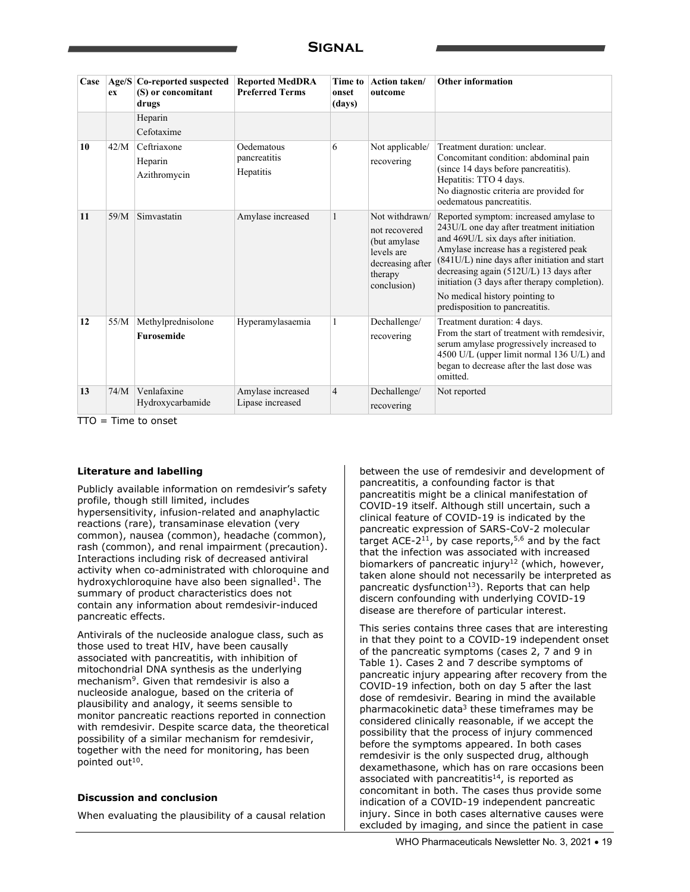| Case | Age/S<br>ex | Co-reported suspected<br>(S) or concomitant<br>drugs | <b>Reported MedDRA</b><br><b>Preferred Terms</b> | Time to<br>onset<br>(days) | <b>Action taken/</b><br>outcome                                                                              | <b>Other information</b>                                                                                                                                                                                                                                                                                                                                                                   |
|------|-------------|------------------------------------------------------|--------------------------------------------------|----------------------------|--------------------------------------------------------------------------------------------------------------|--------------------------------------------------------------------------------------------------------------------------------------------------------------------------------------------------------------------------------------------------------------------------------------------------------------------------------------------------------------------------------------------|
|      |             | Heparin<br>Cefotaxime                                |                                                  |                            |                                                                                                              |                                                                                                                                                                                                                                                                                                                                                                                            |
| 10   | 42/M        | Ceftriaxone<br>Heparin<br>Azithromycin               | Oedematous<br>pancreatitis<br>Hepatitis          | 6                          | Not applicable/<br>recovering                                                                                | Treatment duration: unclear.<br>Concomitant condition: abdominal pain<br>(since 14 days before pancreatitis).<br>Hepatitis: TTO 4 days.<br>No diagnostic criteria are provided for<br>oedematous pancreatitis.                                                                                                                                                                             |
| 11   | 59/M        | Simvastatin                                          | Amylase increased                                | 1                          | Not withdrawn/<br>not recovered<br>(but amylase)<br>levels are<br>decreasing after<br>therapy<br>conclusion) | Reported symptom: increased amylase to<br>243U/L one day after treatment initiation<br>and 469U/L six days after initiation.<br>Amylase increase has a registered peak<br>(841U/L) nine days after initiation and start<br>decreasing again $(512U/L)$ 13 days after<br>initiation (3 days after therapy completion).<br>No medical history pointing to<br>predisposition to pancreatitis. |
| 12   | 55/M        | Methylprednisolone<br>Furosemide                     | Hyperamylasaemia                                 | 1                          | Dechallenge/<br>recovering                                                                                   | Treatment duration: 4 days.<br>From the start of treatment with remdesivir.<br>serum amylase progressively increased to<br>4500 U/L (upper limit normal 136 U/L) and<br>began to decrease after the last dose was<br>omitted.                                                                                                                                                              |
| 13   | 74/M        | Venlafaxine<br>Hydroxycarbamide                      | Amylase increased<br>Lipase increased            | $\overline{4}$             | Dechallenge/<br>recovering                                                                                   | Not reported                                                                                                                                                                                                                                                                                                                                                                               |

 $TTO = Time to onset$ 

#### **Literature and labelling**

Publicly available information on remdesivir's safety profile, though still limited, includes hypersensitivity, infusion-related and anaphylactic reactions (rare), transaminase elevation (very common), nausea (common), headache (common), rash (common), and renal impairment (precaution). Interactions including risk of decreased antiviral activity when co-administrated with chloroquine and hydroxychloroquine have also been signalled<sup>1</sup>. The summary of product characteristics does not contain any information about remdesivir-induced pancreatic effects.

Antivirals of the nucleoside analogue class, such as those used to treat HIV, have been causally associated with pancreatitis, with inhibition of mitochondrial DNA synthesis as the underlying mechanism<sup>9</sup>. Given that remdesivir is also a nucleoside analogue, based on the criteria of plausibility and analogy, it seems sensible to monitor pancreatic reactions reported in connection with remdesivir. Despite scarce data, the theoretical possibility of a similar mechanism for remdesivir, together with the need for monitoring, has been pointed out<sup>10</sup>.

#### **Discussion and conclusion**

When evaluating the plausibility of a causal relation

between the use of remdesivir and development of pancreatitis, a confounding factor is that pancreatitis might be a clinical manifestation of COVID-19 itself. Although still uncertain, such a clinical feature of COVID-19 is indicated by the pancreatic expression of SARS-CoV-2 molecular target ACE-2<sup>11</sup>, by case reports,<sup>5,6</sup> and by the fact that the infection was associated with increased biomarkers of pancreatic injury<sup>12</sup> (which, however, taken alone should not necessarily be interpreted as pancreatic dysfunction<sup>13</sup>). Reports that can help discern confounding with underlying COVID-19 disease are therefore of particular interest.

This series contains three cases that are interesting in that they point to a COVID-19 independent onset of the pancreatic symptoms (cases 2, 7 and 9 in Table 1). Cases 2 and 7 describe symptoms of pancreatic injury appearing after recovery from the COVID-19 infection, both on day 5 after the last dose of remdesivir. Bearing in mind the available pharmacokinetic data $3$  these timeframes may be considered clinically reasonable, if we accept the possibility that the process of injury commenced before the symptoms appeared. In both cases remdesivir is the only suspected drug, although dexamethasone, which has on rare occasions been associated with pancreatitis<sup>14</sup>, is reported as concomitant in both. The cases thus provide some indication of a COVID-19 independent pancreatic injury. Since in both cases alternative causes were excluded by imaging, and since the patient in case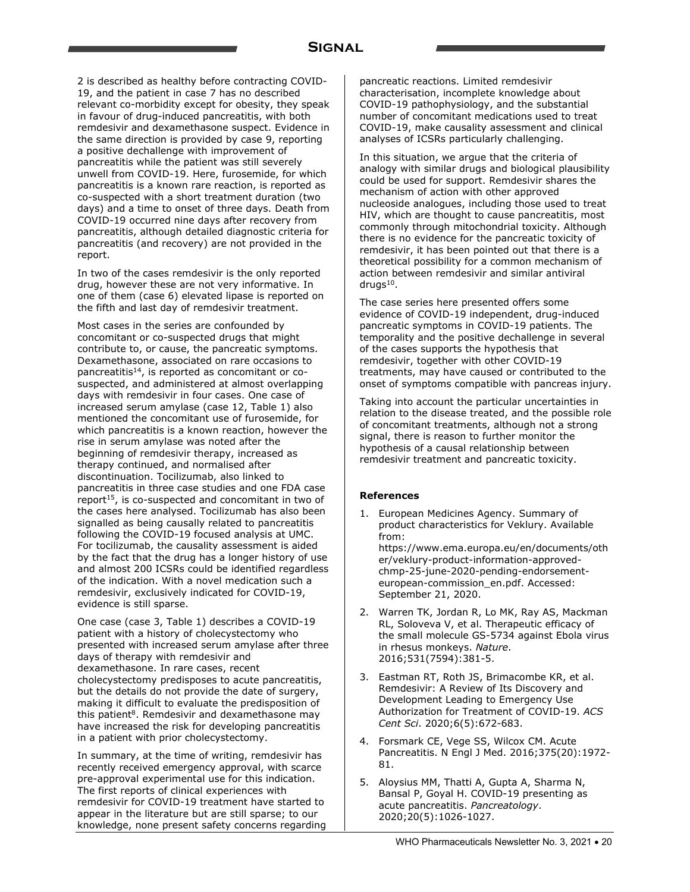2 is described as healthy before contracting COVID-19, and the patient in case 7 has no described relevant co-morbidity except for obesity, they speak in favour of drug-induced pancreatitis, with both remdesivir and dexamethasone suspect. Evidence in the same direction is provided by case 9, reporting a positive dechallenge with improvement of pancreatitis while the patient was still severely unwell from COVID-19. Here, furosemide, for which pancreatitis is a known rare reaction, is reported as co-suspected with a short treatment duration (two days) and a time to onset of three days. Death from COVID-19 occurred nine days after recovery from pancreatitis, although detailed diagnostic criteria for pancreatitis (and recovery) are not provided in the report.

In two of the cases remdesivir is the only reported drug, however these are not very informative. In one of them (case 6) elevated lipase is reported on the fifth and last day of remdesivir treatment.

Most cases in the series are confounded by concomitant or co-suspected drugs that might contribute to, or cause, the pancreatic symptoms. Dexamethasone, associated on rare occasions to pancreatitis14, is reported as concomitant or cosuspected, and administered at almost overlapping days with remdesivir in four cases. One case of increased serum amylase (case 12, Table 1) also mentioned the concomitant use of furosemide, for which pancreatitis is a known reaction, however the rise in serum amylase was noted after the beginning of remdesivir therapy, increased as therapy continued, and normalised after discontinuation. Tocilizumab, also linked to pancreatitis in three case studies and one FDA case report<sup>15</sup>, is co-suspected and concomitant in two of the cases here analysed. Tocilizumab has also been signalled as being causally related to pancreatitis following the COVID-19 focused analysis at UMC. For tocilizumab, the causality assessment is aided by the fact that the drug has a longer history of use and almost 200 ICSRs could be identified regardless of the indication. With a novel medication such a remdesivir, exclusively indicated for COVID-19, evidence is still sparse.

One case (case 3, Table 1) describes a COVID-19 patient with a history of cholecystectomy who presented with increased serum amylase after three days of therapy with remdesivir and dexamethasone. In rare cases, recent cholecystectomy predisposes to acute pancreatitis, but the details do not provide the date of surgery, making it difficult to evaluate the predisposition of this patient<sup>8</sup>. Remdesivir and dexamethasone may have increased the risk for developing pancreatitis in a patient with prior cholecystectomy.

In summary, at the time of writing, remdesivir has recently received emergency approval, with scarce pre-approval experimental use for this indication. The first reports of clinical experiences with remdesivir for COVID-19 treatment have started to appear in the literature but are still sparse; to our knowledge, none present safety concerns regarding pancreatic reactions. Limited remdesivir characterisation, incomplete knowledge about COVID-19 pathophysiology, and the substantial number of concomitant medications used to treat COVID-19, make causality assessment and clinical analyses of ICSRs particularly challenging.

In this situation, we argue that the criteria of analogy with similar drugs and biological plausibility could be used for support. Remdesivir shares the mechanism of action with other approved nucleoside analogues, including those used to treat HIV, which are thought to cause pancreatitis, most commonly through mitochondrial toxicity. Although there is no evidence for the pancreatic toxicity of remdesivir, it has been pointed out that there is a theoretical possibility for a common mechanism of action between remdesivir and similar antiviral drugs<sup>10</sup>.

The case series here presented offers some evidence of COVID-19 independent, drug-induced pancreatic symptoms in COVID-19 patients. The temporality and the positive dechallenge in several of the cases supports the hypothesis that remdesivir, together with other COVID-19 treatments, may have caused or contributed to the onset of symptoms compatible with pancreas injury.

Taking into account the particular uncertainties in relation to the disease treated, and the possible role of concomitant treatments, although not a strong signal, there is reason to further monitor the hypothesis of a causal relationship between remdesivir treatment and pancreatic toxicity.

### **References**

- 1. European Medicines Agency. Summary of product characteristics for Veklury. Available from: https://www.ema.europa.eu/en/documents/oth er/veklury-product-information-approvedchmp-25-june-2020-pending-endorsementeuropean-commission\_en.pdf. Accessed: September 21, 2020.
- 2. Warren TK, Jordan R, Lo MK, Ray AS, Mackman RL, Soloveva V, et al. Therapeutic efficacy of the small molecule GS-5734 against Ebola virus in rhesus monkeys. *Nature*. 2016;531(7594):381-5.
- 3. Eastman RT, Roth JS, Brimacombe KR, et al. Remdesivir: A Review of Its Discovery and Development Leading to Emergency Use Authorization for Treatment of COVID-19. *ACS Cent Sci*. 2020;6(5):672-683.
- 4. Forsmark CE, Vege SS, Wilcox CM. Acute Pancreatitis. N Engl J Med. 2016;375(20):1972- 81.
- 5. Aloysius MM, Thatti A, Gupta A, Sharma N, Bansal P, Goyal H. COVID-19 presenting as acute pancreatitis. *Pancreatology*. 2020;20(5):1026-1027.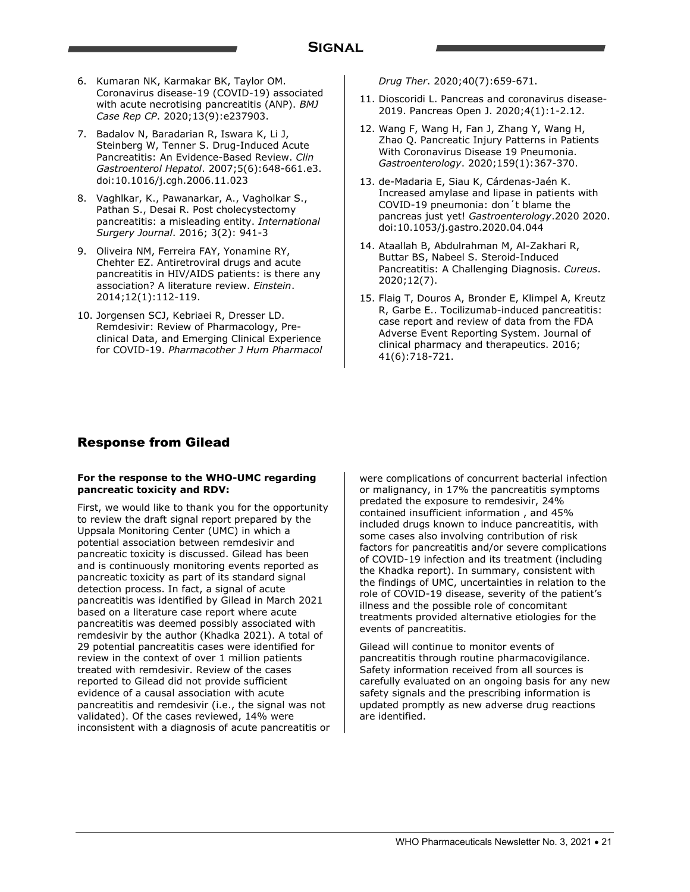- 6. Kumaran NK, Karmakar BK, Taylor OM. Coronavirus disease-19 (COVID-19) associated with acute necrotising pancreatitis (ANP). *BMJ Case Rep CP*. 2020;13(9):e237903.
- 7. Badalov N, Baradarian R, Iswara K, Li J, Steinberg W, Tenner S. Drug-Induced Acute Pancreatitis: An Evidence-Based Review. *Clin Gastroenterol Hepatol*. 2007;5(6):648-661.e3. doi:10.1016/j.cgh.2006.11.023
- 8. Vaghlkar, K., Pawanarkar, A., Vagholkar S., Pathan S., Desai R. Post cholecystectomy pancreatitis: a misleading entity. *International Surgery Journal*. 2016; 3(2): 941-3
- 9. Oliveira NM, Ferreira FAY, Yonamine RY, Chehter EZ. Antiretroviral drugs and acute pancreatitis in HIV/AIDS patients: is there any association? A literature review. *Einstein*. 2014;12(1):112-119.
- 10. Jorgensen SCJ, Kebriaei R, Dresser LD. Remdesivir: Review of Pharmacology, Preclinical Data, and Emerging Clinical Experience for COVID-19. *Pharmacother J Hum Pharmacol*

*Drug Ther*. 2020;40(7):659-671.

- 11. Dioscoridi L. Pancreas and coronavirus disease-2019. Pancreas Open J. 2020;4(1):1-2.12.
- 12. Wang F, Wang H, Fan J, Zhang Y, Wang H, Zhao Q. Pancreatic Injury Patterns in Patients With Coronavirus Disease 19 Pneumonia. *Gastroenterology*. 2020;159(1):367-370.
- 13. de-Madaria E, Siau K, Cárdenas-Jaén K. Increased amylase and lipase in patients with COVID-19 pneumonia: don´t blame the pancreas just yet! *Gastroenterology*.2020 2020. doi:10.1053/j.gastro.2020.04.044
- 14. Ataallah B, Abdulrahman M, Al-Zakhari R, Buttar BS, Nabeel S. Steroid-Induced Pancreatitis: A Challenging Diagnosis. *Cureus*. 2020;12(7).
- 15. Flaig T, Douros A, Bronder E, Klimpel A, Kreutz R, Garbe E.. Tocilizumab-induced pancreatitis: case report and review of data from the FDA Adverse Event Reporting System. Journal of clinical pharmacy and therapeutics. 2016; 41(6):718-721.

### Response from Gilead

#### **For the response to the WHO-UMC regarding pancreatic toxicity and RDV:**

First, we would like to thank you for the opportunity to review the draft signal report prepared by the Uppsala Monitoring Center (UMC) in which a potential association between remdesivir and pancreatic toxicity is discussed. Gilead has been and is continuously monitoring events reported as pancreatic toxicity as part of its standard signal detection process. In fact, a signal of acute pancreatitis was identified by Gilead in March 2021 based on a literature case report where acute pancreatitis was deemed possibly associated with remdesivir by the author (Khadka 2021). A total of 29 potential pancreatitis cases were identified for review in the context of over 1 million patients treated with remdesivir. Review of the cases reported to Gilead did not provide sufficient evidence of a causal association with acute pancreatitis and remdesivir (i.e., the signal was not validated). Of the cases reviewed, 14% were inconsistent with a diagnosis of acute pancreatitis or were complications of concurrent bacterial infection or malignancy, in 17% the pancreatitis symptoms predated the exposure to remdesivir, 24% contained insufficient information , and 45% included drugs known to induce pancreatitis, with some cases also involving contribution of risk factors for pancreatitis and/or severe complications of COVID-19 infection and its treatment (including the Khadka report). In summary, consistent with the findings of UMC, uncertainties in relation to the role of COVID-19 disease, severity of the patient's illness and the possible role of concomitant treatments provided alternative etiologies for the events of pancreatitis.

Gilead will continue to monitor events of pancreatitis through routine pharmacovigilance. Safety information received from all sources is carefully evaluated on an ongoing basis for any new safety signals and the prescribing information is updated promptly as new adverse drug reactions are identified.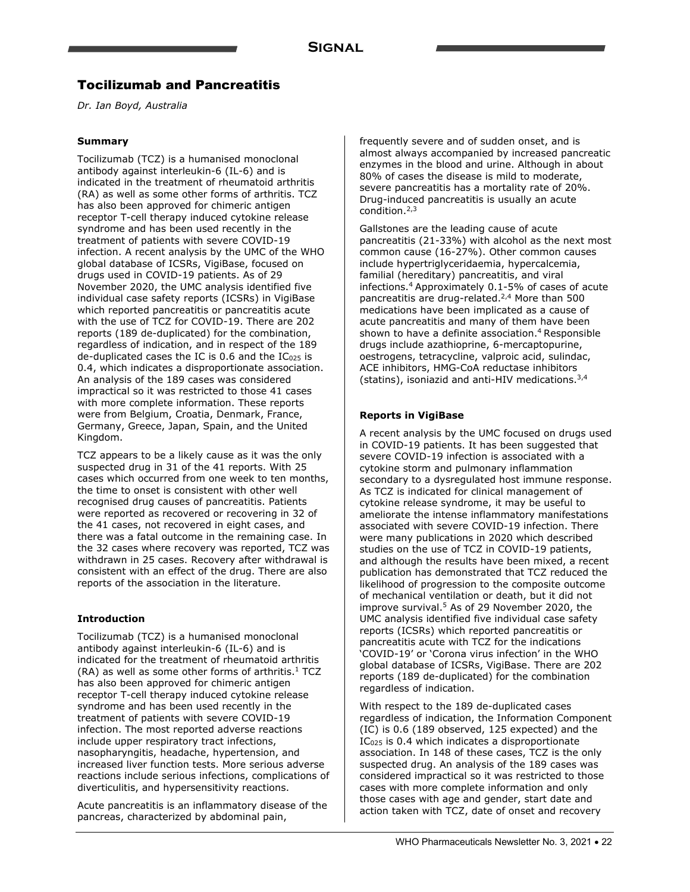### Tocilizumab and Pancreatitis

*Dr. Ian Boyd, Australia* 

### **Summary**

Tocilizumab (TCZ) is a humanised monoclonal antibody against interleukin-6 (IL-6) and is indicated in the treatment of rheumatoid arthritis (RA) as well as some other forms of arthritis. TCZ has also been approved for chimeric antigen receptor T-cell therapy induced cytokine release syndrome and has been used recently in the treatment of patients with severe COVID-19 infection. A recent analysis by the UMC of the WHO global database of ICSRs, VigiBase, focused on drugs used in COVID-19 patients. As of 29 November 2020, the UMC analysis identified five individual case safety reports (ICSRs) in VigiBase which reported pancreatitis or pancreatitis acute with the use of TCZ for COVID-19. There are 202 reports (189 de-duplicated) for the combination, regardless of indication, and in respect of the 189 de-duplicated cases the IC is  $0.6$  and the IC $_{025}$  is 0.4, which indicates a disproportionate association. An analysis of the 189 cases was considered impractical so it was restricted to those 41 cases with more complete information. These reports were from Belgium, Croatia, Denmark, France, Germany, Greece, Japan, Spain, and the United Kingdom.

TCZ appears to be a likely cause as it was the only suspected drug in 31 of the 41 reports. With 25 cases which occurred from one week to ten months, the time to onset is consistent with other well recognised drug causes of pancreatitis. Patients were reported as recovered or recovering in 32 of the 41 cases, not recovered in eight cases, and there was a fatal outcome in the remaining case. In the 32 cases where recovery was reported, TCZ was withdrawn in 25 cases. Recovery after withdrawal is consistent with an effect of the drug. There are also reports of the association in the literature.

### **Introduction**

Tocilizumab (TCZ) is a humanised monoclonal antibody against interleukin-6 (IL-6) and is indicated for the treatment of rheumatoid arthritis  $(RA)$  as well as some other forms of arthritis.<sup>1</sup> TCZ has also been approved for chimeric antigen receptor T-cell therapy induced cytokine release syndrome and has been used recently in the treatment of patients with severe COVID-19 infection. The most reported adverse reactions include upper respiratory tract infections, nasopharyngitis, headache, hypertension, and increased liver function tests. More serious adverse reactions include serious infections, complications of diverticulitis, and hypersensitivity reactions.

Acute pancreatitis is an inflammatory disease of the pancreas, characterized by abdominal pain,

frequently severe and of sudden onset, and is almost always accompanied by increased pancreatic enzymes in the blood and urine. Although in about 80% of cases the disease is mild to moderate, severe pancreatitis has a mortality rate of 20%. Drug-induced pancreatitis is usually an acute condition.2,3

Gallstones are the leading cause of acute pancreatitis (21-33%) with alcohol as the next most common cause (16-27%). Other common causes include hypertriglyceridaemia, hypercalcemia, familial (hereditary) pancreatitis, and viral infections.4 Approximately 0.1-5% of cases of acute pancreatitis are drug-related.2,4 More than 500 medications have been implicated as a cause of acute pancreatitis and many of them have been shown to have a definite association.<sup>4</sup> Responsible drugs include azathioprine, 6-mercaptopurine, oestrogens, tetracycline, valproic acid, sulindac, ACE inhibitors, HMG-CoA reductase inhibitors (statins), isoniazid and anti-HIV medications.3,4

### **Reports in VigiBase**

A recent analysis by the UMC focused on drugs used in COVID-19 patients. It has been suggested that severe COVID-19 infection is associated with a cytokine storm and pulmonary inflammation secondary to a dysregulated host immune response. As TCZ is indicated for clinical management of cytokine release syndrome, it may be useful to ameliorate the intense inflammatory manifestations associated with severe COVID-19 infection. There were many publications in 2020 which described studies on the use of TCZ in COVID-19 patients, and although the results have been mixed, a recent publication has demonstrated that TCZ reduced the likelihood of progression to the composite outcome of mechanical ventilation or death, but it did not improve survival.<sup>5</sup> As of 29 November 2020, the UMC analysis identified five individual case safety reports (ICSRs) which reported pancreatitis or pancreatitis acute with TCZ for the indications 'COVID-19' or 'Corona virus infection' in the WHO global database of ICSRs, VigiBase. There are 202 reports (189 de-duplicated) for the combination regardless of indication.

With respect to the 189 de-duplicated cases regardless of indication, the Information Component (IC) is 0.6 (189 observed, 125 expected) and the IC<sub>025</sub> is 0.4 which indicates a disproportionate association. In 148 of these cases, TCZ is the only suspected drug. An analysis of the 189 cases was considered impractical so it was restricted to those cases with more complete information and only those cases with age and gender, start date and action taken with TCZ, date of onset and recovery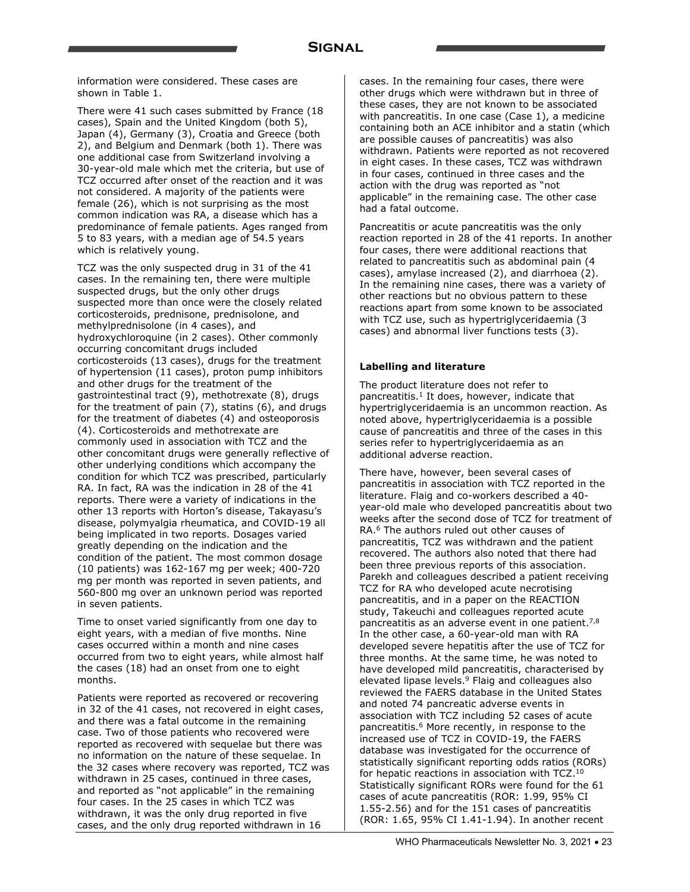information were considered. These cases are shown in Table 1.

There were 41 such cases submitted by France (18 cases), Spain and the United Kingdom (both 5), Japan (4), Germany (3), Croatia and Greece (both 2), and Belgium and Denmark (both 1). There was one additional case from Switzerland involving a 30-year-old male which met the criteria, but use of TCZ occurred after onset of the reaction and it was not considered. A majority of the patients were female (26), which is not surprising as the most common indication was RA, a disease which has a predominance of female patients. Ages ranged from 5 to 83 years, with a median age of 54.5 years which is relatively young.

TCZ was the only suspected drug in 31 of the 41 cases. In the remaining ten, there were multiple suspected drugs, but the only other drugs suspected more than once were the closely related corticosteroids, prednisone, prednisolone, and methylprednisolone (in 4 cases), and hydroxychloroquine (in 2 cases). Other commonly occurring concomitant drugs included corticosteroids (13 cases), drugs for the treatment of hypertension (11 cases), proton pump inhibitors and other drugs for the treatment of the gastrointestinal tract (9), methotrexate (8), drugs for the treatment of pain (7), statins (6), and drugs for the treatment of diabetes (4) and osteoporosis (4). Corticosteroids and methotrexate are commonly used in association with TCZ and the other concomitant drugs were generally reflective of other underlying conditions which accompany the condition for which TCZ was prescribed, particularly RA. In fact, RA was the indication in 28 of the 41 reports. There were a variety of indications in the other 13 reports with Horton's disease, Takayasu's disease, polymyalgia rheumatica, and COVID-19 all being implicated in two reports. Dosages varied greatly depending on the indication and the condition of the patient. The most common dosage (10 patients) was 162-167 mg per week; 400-720 mg per month was reported in seven patients, and 560-800 mg over an unknown period was reported in seven patients.

Time to onset varied significantly from one day to eight years, with a median of five months. Nine cases occurred within a month and nine cases occurred from two to eight years, while almost half the cases (18) had an onset from one to eight months.

Patients were reported as recovered or recovering in 32 of the 41 cases, not recovered in eight cases, and there was a fatal outcome in the remaining case. Two of those patients who recovered were reported as recovered with sequelae but there was no information on the nature of these sequelae. In the 32 cases where recovery was reported, TCZ was withdrawn in 25 cases, continued in three cases, and reported as "not applicable" in the remaining four cases. In the 25 cases in which TCZ was withdrawn, it was the only drug reported in five cases, and the only drug reported withdrawn in 16

cases. In the remaining four cases, there were other drugs which were withdrawn but in three of these cases, they are not known to be associated with pancreatitis. In one case (Case 1), a medicine containing both an ACE inhibitor and a statin (which are possible causes of pancreatitis) was also withdrawn. Patients were reported as not recovered in eight cases. In these cases, TCZ was withdrawn in four cases, continued in three cases and the action with the drug was reported as "not applicable" in the remaining case. The other case had a fatal outcome.

Pancreatitis or acute pancreatitis was the only reaction reported in 28 of the 41 reports. In another four cases, there were additional reactions that related to pancreatitis such as abdominal pain (4 cases), amylase increased (2), and diarrhoea (2). In the remaining nine cases, there was a variety of other reactions but no obvious pattern to these reactions apart from some known to be associated with TCZ use, such as hypertriglyceridaemia (3 cases) and abnormal liver functions tests (3).

#### **Labelling and literature**

The product literature does not refer to pancreatitis.<sup>1</sup> It does, however, indicate that hypertriglyceridaemia is an uncommon reaction. As noted above, hypertriglyceridaemia is a possible cause of pancreatitis and three of the cases in this series refer to hypertriglyceridaemia as an additional adverse reaction.

There have, however, been several cases of pancreatitis in association with TCZ reported in the literature. Flaig and co-workers described a 40 year-old male who developed pancreatitis about two weeks after the second dose of TCZ for treatment of RA.6 The authors ruled out other causes of pancreatitis, TCZ was withdrawn and the patient recovered. The authors also noted that there had been three previous reports of this association. Parekh and colleagues described a patient receiving TCZ for RA who developed acute necrotising pancreatitis, and in a paper on the REACTION study, Takeuchi and colleagues reported acute pancreatitis as an adverse event in one patient.<sup>7,8</sup> In the other case, a 60-year-old man with RA developed severe hepatitis after the use of TCZ for three months. At the same time, he was noted to have developed mild pancreatitis, characterised by elevated lipase levels.9 Flaig and colleagues also reviewed the FAERS database in the United States and noted 74 pancreatic adverse events in association with TCZ including 52 cases of acute pancreatitis.6 More recently, in response to the increased use of TCZ in COVID-19, the FAERS database was investigated for the occurrence of statistically significant reporting odds ratios (RORs) for hepatic reactions in association with TCZ.<sup>10</sup> Statistically significant RORs were found for the 61 cases of acute pancreatitis (ROR: 1.99, 95% CI 1.55-2.56) and for the 151 cases of pancreatitis (ROR: 1.65, 95% CI 1.41-1.94). In another recent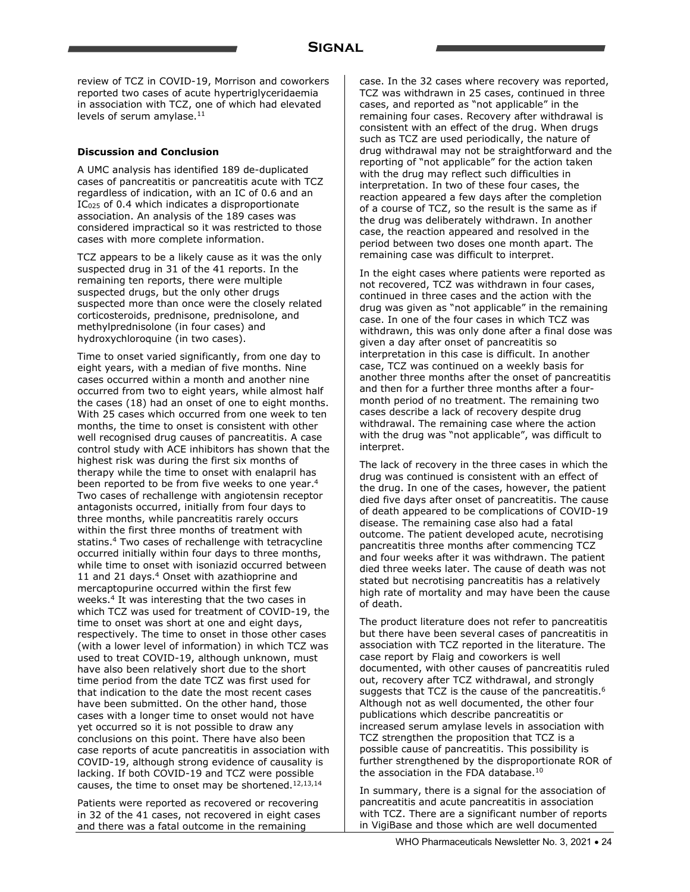review of TCZ in COVID-19, Morrison and coworkers reported two cases of acute hypertriglyceridaemia in association with TCZ, one of which had elevated levels of serum amylase. $11$ 

### **Discussion and Conclusion**

A UMC analysis has identified 189 de-duplicated cases of pancreatitis or pancreatitis acute with TCZ regardless of indication, with an IC of 0.6 and an IC<sub>025</sub> of 0.4 which indicates a disproportionate association. An analysis of the 189 cases was considered impractical so it was restricted to those cases with more complete information.

TCZ appears to be a likely cause as it was the only suspected drug in 31 of the 41 reports. In the remaining ten reports, there were multiple suspected drugs, but the only other drugs suspected more than once were the closely related corticosteroids, prednisone, prednisolone, and methylprednisolone (in four cases) and hydroxychloroquine (in two cases).

Time to onset varied significantly, from one day to eight years, with a median of five months. Nine cases occurred within a month and another nine occurred from two to eight years, while almost half the cases (18) had an onset of one to eight months. With 25 cases which occurred from one week to ten months, the time to onset is consistent with other well recognised drug causes of pancreatitis. A case control study with ACE inhibitors has shown that the highest risk was during the first six months of therapy while the time to onset with enalapril has been reported to be from five weeks to one year.<sup>4</sup> Two cases of rechallenge with angiotensin receptor antagonists occurred, initially from four days to three months, while pancreatitis rarely occurs within the first three months of treatment with statins.4 Two cases of rechallenge with tetracycline occurred initially within four days to three months, while time to onset with isoniazid occurred between 11 and 21 days.<sup>4</sup> Onset with azathioprine and mercaptopurine occurred within the first few weeks.4 It was interesting that the two cases in which TCZ was used for treatment of COVID-19, the time to onset was short at one and eight days, respectively. The time to onset in those other cases (with a lower level of information) in which TCZ was used to treat COVID-19, although unknown, must have also been relatively short due to the short time period from the date TCZ was first used for that indication to the date the most recent cases have been submitted. On the other hand, those cases with a longer time to onset would not have yet occurred so it is not possible to draw any conclusions on this point. There have also been case reports of acute pancreatitis in association with COVID-19, although strong evidence of causality is lacking. If both COVID-19 and TCZ were possible causes, the time to onset may be shortened.<sup>12,13,14</sup>

Patients were reported as recovered or recovering in 32 of the 41 cases, not recovered in eight cases and there was a fatal outcome in the remaining

case. In the 32 cases where recovery was reported, TCZ was withdrawn in 25 cases, continued in three cases, and reported as "not applicable" in the remaining four cases. Recovery after withdrawal is consistent with an effect of the drug. When drugs such as TCZ are used periodically, the nature of drug withdrawal may not be straightforward and the reporting of "not applicable" for the action taken with the drug may reflect such difficulties in interpretation. In two of these four cases, the reaction appeared a few days after the completion of a course of TCZ, so the result is the same as if the drug was deliberately withdrawn. In another case, the reaction appeared and resolved in the period between two doses one month apart. The remaining case was difficult to interpret.

In the eight cases where patients were reported as not recovered, TCZ was withdrawn in four cases, continued in three cases and the action with the drug was given as "not applicable" in the remaining case. In one of the four cases in which TCZ was withdrawn, this was only done after a final dose was given a day after onset of pancreatitis so interpretation in this case is difficult. In another case, TCZ was continued on a weekly basis for another three months after the onset of pancreatitis and then for a further three months after a fourmonth period of no treatment. The remaining two cases describe a lack of recovery despite drug withdrawal. The remaining case where the action with the drug was "not applicable", was difficult to interpret.

The lack of recovery in the three cases in which the drug was continued is consistent with an effect of the drug. In one of the cases, however, the patient died five days after onset of pancreatitis. The cause of death appeared to be complications of COVID-19 disease. The remaining case also had a fatal outcome. The patient developed acute, necrotising pancreatitis three months after commencing TCZ and four weeks after it was withdrawn. The patient died three weeks later. The cause of death was not stated but necrotising pancreatitis has a relatively high rate of mortality and may have been the cause of death.

The product literature does not refer to pancreatitis but there have been several cases of pancreatitis in association with TCZ reported in the literature. The case report by Flaig and coworkers is well documented, with other causes of pancreatitis ruled out, recovery after TCZ withdrawal, and strongly suggests that TCZ is the cause of the pancreatitis.<sup>6</sup> Although not as well documented, the other four publications which describe pancreatitis or increased serum amylase levels in association with TCZ strengthen the proposition that TCZ is a possible cause of pancreatitis. This possibility is further strengthened by the disproportionate ROR of the association in the FDA database.10

In summary, there is a signal for the association of pancreatitis and acute pancreatitis in association with TCZ. There are a significant number of reports in VigiBase and those which are well documented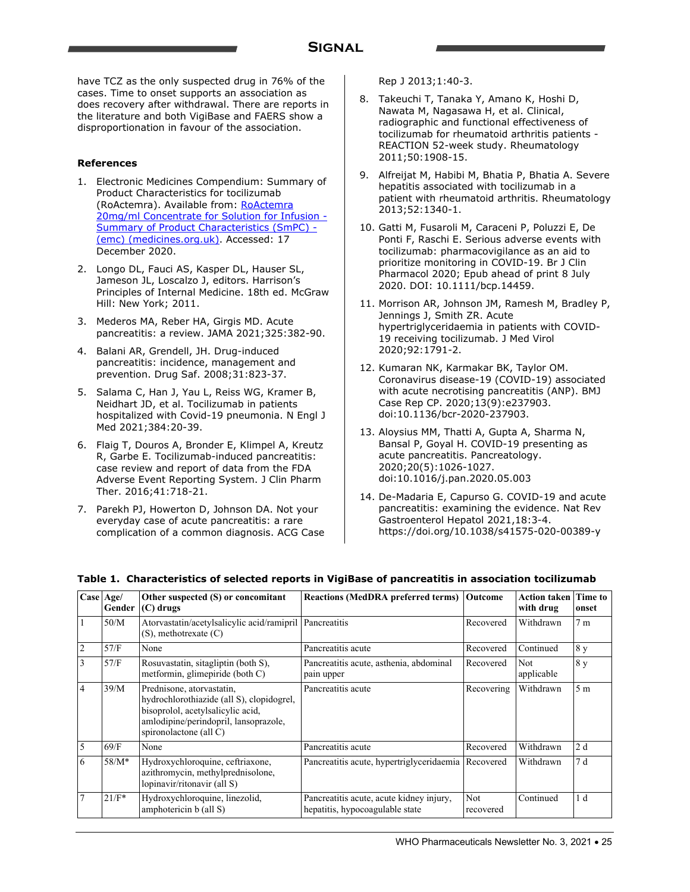have TCZ as the only suspected drug in 76% of the cases. Time to onset supports an association as does recovery after withdrawal. There are reports in the literature and both VigiBase and FAERS show a disproportionation in favour of the association.

#### **References**

- 1. Electronic Medicines Compendium: Summary of Product Characteristics for tocilizumab (RoActemra). Available from: RoActemra 20mg/ml Concentrate for Solution for Infusion - Summary of Product Characteristics (SmPC) - (emc) (medicines.org.uk). Accessed: 17 December 2020.
- 2. Longo DL, Fauci AS, Kasper DL, Hauser SL, Jameson JL, Loscalzo J, editors. Harrison's Principles of Internal Medicine. 18th ed. McGraw Hill: New York; 2011.
- 3. Mederos MA, Reber HA, Girgis MD. Acute pancreatitis: a review. JAMA 2021;325:382-90.
- 4. Balani AR, Grendell, JH. Drug-induced pancreatitis: incidence, management and prevention. Drug Saf. 2008;31:823-37.
- 5. Salama C, Han J, Yau L, Reiss WG, Kramer B, Neidhart JD, et al. Tocilizumab in patients hospitalized with Covid-19 pneumonia. N Engl J Med 2021;384:20-39.
- 6. Flaig T, Douros A, Bronder E, Klimpel A, Kreutz R, Garbe E. Tocilizumab-induced pancreatitis: case review and report of data from the FDA Adverse Event Reporting System. J Clin Pharm Ther. 2016;41:718-21.
- 7. Parekh PJ, Howerton D, Johnson DA. Not your everyday case of acute pancreatitis: a rare complication of a common diagnosis. ACG Case

Rep J 2013;1:40-3.

- 8. Takeuchi T, Tanaka Y, Amano K, Hoshi D, Nawata M, Nagasawa H, et al. Clinical, radiographic and functional effectiveness of tocilizumab for rheumatoid arthritis patients - REACTION 52-week study. Rheumatology 2011;50:1908-15.
- 9. Alfreijat M, Habibi M, Bhatia P, Bhatia A. Severe hepatitis associated with tocilizumab in a patient with rheumatoid arthritis. Rheumatology 2013;52:1340-1.
- 10. Gatti M, Fusaroli M, Caraceni P, Poluzzi E, De Ponti F, Raschi E. Serious adverse events with tocilizumab: pharmacovigilance as an aid to prioritize monitoring in COVID-19. Br J Clin Pharmacol 2020; Epub ahead of print 8 July 2020. DOI: 10.1111/bcp.14459.
- 11. Morrison AR, Johnson JM, Ramesh M, Bradley P, Jennings J, Smith ZR. Acute hypertriglyceridaemia in patients with COVID-19 receiving tocilizumab. J Med Virol 2020;92:1791-2.
- 12. Kumaran NK, Karmakar BK, Taylor OM. Coronavirus disease-19 (COVID-19) associated with acute necrotising pancreatitis (ANP). BMJ Case Rep CP. 2020;13(9):e237903. doi:10.1136/bcr-2020-237903.
- 13. Aloysius MM, Thatti A, Gupta A, Sharma N, Bansal P, Goyal H. COVID-19 presenting as acute pancreatitis. Pancreatology. 2020;20(5):1026-1027. doi:10.1016/j.pan.2020.05.003
- 14. De-Madaria E, Capurso G. COVID-19 and acute pancreatitis: examining the evidence. Nat Rev Gastroenterol Hepatol 2021,18:3-4. https://doi.org/10.1038/s41575-020-00389-y

|                | Case Age/<br>Gender | Other suspected (S) or concomitant<br>$(C)$ drugs                                                                                                                              | <b>Reactions (MedDRA preferred terms) Outcome</b>                           |                  | <b>Action taken</b><br>with drug | Time to<br>onset |
|----------------|---------------------|--------------------------------------------------------------------------------------------------------------------------------------------------------------------------------|-----------------------------------------------------------------------------|------------------|----------------------------------|------------------|
|                | 50/M                | Atorvastatin/acetylsalicylic acid/ramipril Pancreatitis<br>$(S)$ , methotrexate $(C)$                                                                                          |                                                                             | Recovered        | Withdrawn                        | 7 <sub>m</sub>   |
| $\overline{2}$ | 57/F                | None                                                                                                                                                                           | Pancreatitis acute                                                          | Recovered        | Continued                        | 8 <sub>y</sub>   |
| 3              | 57/F                | Rosuvastatin, sitagliptin (both S),<br>metformin, glimepiride (both C)                                                                                                         | Pancreatitis acute, asthenia, abdominal<br>pain upper                       | Recovered        | Not<br>applicable                | 8 y              |
| 4              | 39/M                | Prednisone, atorvastatin,<br>hydrochlorothiazide (all S), clopidogrel,<br>bisoprolol, acetylsalicylic acid,<br>amlodipine/perindopril, lansoprazole,<br>spironolactone (all C) | Pancreatitis acute                                                          | Recovering       | Withdrawn                        | 5 <sub>m</sub>   |
| 5              | 69/F                | None                                                                                                                                                                           | Pancreatitis acute                                                          | Recovered        | Withdrawn                        | 2d               |
| 6              | $58/M*$             | Hydroxychloroquine, ceftriaxone,<br>azithromycin, methylprednisolone,<br>lopinavir/ritonavir (all S)                                                                           | Pancreatitis acute, hypertriglyceridaemia Recovered                         |                  | Withdrawn                        | 7d               |
|                | $21/F*$             | Hydroxychloroquine, linezolid,<br>amphotericin b (all S)                                                                                                                       | Pancreatitis acute, acute kidney injury,<br>hepatitis, hypocoagulable state | Not<br>recovered | Continued                        | 1 <sub>d</sub>   |

#### **Table 1. Characteristics of selected reports in VigiBase of pancreatitis in association tocilizumab**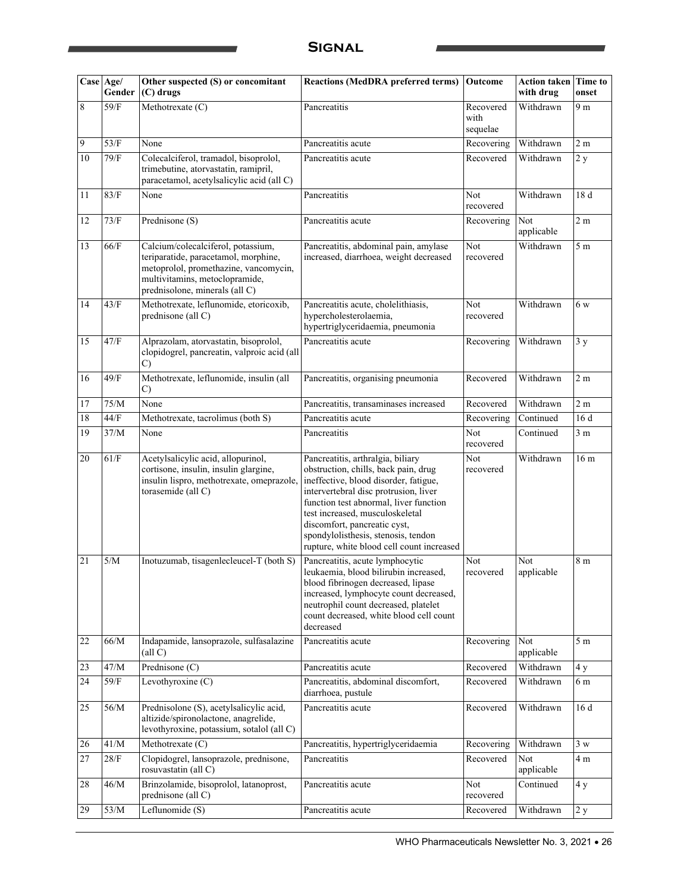### **Signal**

|    | Case Age/<br>Gender | Other suspected $(S)$ or concomitant<br>(C) drugs                                                                                                                                       | <b>Reactions (MedDRA preferred terms)</b>                                                                                                                                                                                                                                                                                                                    | <b>Outcome</b>                | <b>Action taken</b><br>with drug | Time to<br>onset |
|----|---------------------|-----------------------------------------------------------------------------------------------------------------------------------------------------------------------------------------|--------------------------------------------------------------------------------------------------------------------------------------------------------------------------------------------------------------------------------------------------------------------------------------------------------------------------------------------------------------|-------------------------------|----------------------------------|------------------|
| 8  | 59/F                | Methotrexate (C)                                                                                                                                                                        | Pancreatitis                                                                                                                                                                                                                                                                                                                                                 | Recovered<br>with<br>sequelae | Withdrawn                        | 9 m              |
| 9  | 53/F                | None                                                                                                                                                                                    | Pancreatitis acute                                                                                                                                                                                                                                                                                                                                           | Recovering                    | Withdrawn                        | 2m               |
| 10 | 79/F                | Colecalciferol, tramadol, bisoprolol,<br>trimebutine, atorvastatin, ramipril,<br>paracetamol, acetylsalicylic acid (all C)                                                              | Pancreatitis acute                                                                                                                                                                                                                                                                                                                                           | Recovered                     | Withdrawn                        | 2y               |
| 11 | 83/F                | None                                                                                                                                                                                    | Pancreatitis                                                                                                                                                                                                                                                                                                                                                 | Not<br>recovered              | Withdrawn                        | 18 d             |
| 12 | 73/F                | Prednisone (S)                                                                                                                                                                          | Pancreatitis acute                                                                                                                                                                                                                                                                                                                                           | Recovering                    | Not<br>applicable                | 2 <sub>m</sub>   |
| 13 | $66/F$              | Calcium/colecalciferol, potassium,<br>teriparatide, paracetamol, morphine,<br>metoprolol, promethazine, vancomycin,<br>multivitamins, metoclopramide,<br>prednisolone, minerals (all C) | Pancreatitis, abdominal pain, amylase<br>increased, diarrhoea, weight decreased                                                                                                                                                                                                                                                                              | Not<br>recovered              | Withdrawn                        | 5m               |
| 14 | 43/F                | Methotrexate, leflunomide, etoricoxib,<br>prednisone (all C)                                                                                                                            | Pancreatitis acute, cholelithiasis,<br>hypercholesterolaemia,<br>hypertriglyceridaemia, pneumonia                                                                                                                                                                                                                                                            | Not<br>recovered              | Withdrawn                        | 6 w              |
| 15 | 47/F                | Alprazolam, atorvastatin, bisoprolol,<br>clopidogrel, pancreatin, valproic acid (all<br>$\mathcal{C}$                                                                                   | Pancreatitis acute                                                                                                                                                                                                                                                                                                                                           | Recovering                    | Withdrawn                        | 3y               |
| 16 | 49/F                | Methotrexate, leflunomide, insulin (all<br>C)                                                                                                                                           | Pancreatitis, organising pneumonia                                                                                                                                                                                                                                                                                                                           | Recovered                     | Withdrawn                        | 2 <sub>m</sub>   |
| 17 | $75/M$              | None                                                                                                                                                                                    | Pancreatitis, transaminases increased                                                                                                                                                                                                                                                                                                                        | Recovered                     | Withdrawn                        | $2\ {\rm m}$     |
| 18 | 44/F                | Methotrexate, tacrolimus (both S)                                                                                                                                                       | Pancreatitis acute                                                                                                                                                                                                                                                                                                                                           | Recovering                    | Continued                        | 16 d             |
| 19 | 37/M                | None                                                                                                                                                                                    | Pancreatitis                                                                                                                                                                                                                                                                                                                                                 | Not<br>recovered              | Continued                        | $3\ {\rm m}$     |
| 20 | 61/F                | Acetylsalicylic acid, allopurinol,<br>cortisone, insulin, insulin glargine,<br>insulin lispro, methotrexate, omeprazole,<br>torasemide (all C)                                          | Pancreatitis, arthralgia, biliary<br>obstruction, chills, back pain, drug<br>ineffective, blood disorder, fatigue,<br>intervertebral disc protrusion, liver<br>function test abnormal, liver function<br>test increased, musculoskeletal<br>discomfort, pancreatic cyst,<br>spondylolisthesis, stenosis, tendon<br>rupture, white blood cell count increased | Not<br>recovered              | Withdrawn                        | 16 <sub>m</sub>  |
| 21 | 5/M                 | Inotuzumab, tisagenlecleucel-T (both S)                                                                                                                                                 | Pancreatitis, acute lymphocytic<br>leukaemia, blood bilirubin increased,<br>blood fibrinogen decreased, lipase<br>increased, lymphocyte count decreased,<br>neutrophil count decreased, platelet<br>count decreased, white blood cell count<br>decreased                                                                                                     | Not<br>recovered              | Not<br>applicable                | 8 m              |
| 22 | 66/M                | Indapamide, lansoprazole, sulfasalazine<br>(all C)                                                                                                                                      | Pancreatitis acute                                                                                                                                                                                                                                                                                                                                           | Recovering                    | Not<br>applicable                | 5 <sub>m</sub>   |
| 23 | 47/M                | Prednisone $(C)$                                                                                                                                                                        | Pancreatitis acute                                                                                                                                                                                                                                                                                                                                           | Recovered                     | Withdrawn                        | 4y               |
| 24 | $59/F$              | Levothyroxine (C)                                                                                                                                                                       | Pancreatitis, abdominal discomfort,<br>diarrhoea, pustule                                                                                                                                                                                                                                                                                                    | Recovered                     | Withdrawn                        | 6 m              |
| 25 | 56/M                | Prednisolone (S), acetylsalicylic acid,<br>altizide/spironolactone, anagrelide,<br>levothyroxine, potassium, sotalol (all C)                                                            | Pancreatitis acute                                                                                                                                                                                                                                                                                                                                           | Recovered                     | Withdrawn                        | 16 d             |
| 26 | 41/M                | Methotrexate (C)                                                                                                                                                                        | Pancreatitis, hypertriglyceridaemia                                                                                                                                                                                                                                                                                                                          | Recovering                    | Withdrawn                        | 3 w              |
| 27 | 28/F                | Clopidogrel, lansoprazole, prednisone,<br>rosuvastatin (all C)                                                                                                                          | Pancreatitis                                                                                                                                                                                                                                                                                                                                                 | Recovered                     | Not<br>applicable                | 4 m              |
| 28 | 46/M                | Brinzolamide, bisoprolol, latanoprost,<br>prednisone (all C)                                                                                                                            | Pancreatitis acute                                                                                                                                                                                                                                                                                                                                           | Not<br>recovered              | Continued                        | 4 y              |
| 29 | 53/M                | Leflunomide (S)                                                                                                                                                                         | Pancreatitis acute                                                                                                                                                                                                                                                                                                                                           | Recovered                     | Withdrawn                        | 2y               |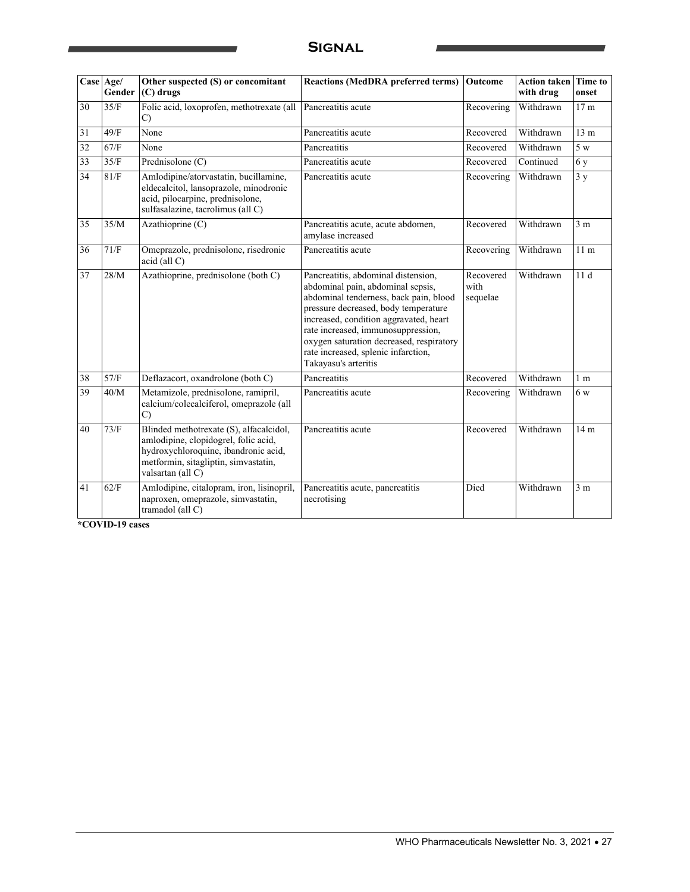### **Signal**

|    | Case Age/<br>Gender | Other suspected (S) or concomitant<br>$(C)$ drugs                                                                                                                                    | <b>Reactions (MedDRA preferred terms)</b>                                                                                                                                                                                                                                                                                                             | Outcome                       | <b>Action taken</b><br>with drug | Time to<br>onset |
|----|---------------------|--------------------------------------------------------------------------------------------------------------------------------------------------------------------------------------|-------------------------------------------------------------------------------------------------------------------------------------------------------------------------------------------------------------------------------------------------------------------------------------------------------------------------------------------------------|-------------------------------|----------------------------------|------------------|
| 30 | 35/F                | Folic acid, loxoprofen, methotrexate (all<br>$\mathcal{C}$                                                                                                                           | Pancreatitis acute                                                                                                                                                                                                                                                                                                                                    | Recovering                    | Withdrawn                        | 17 <sub>m</sub>  |
| 31 | 49/F                | None                                                                                                                                                                                 | Pancreatitis acute                                                                                                                                                                                                                                                                                                                                    | Recovered                     | Withdrawn                        | 13 <sub>m</sub>  |
| 32 | 67/F                | None                                                                                                                                                                                 | Pancreatitis                                                                                                                                                                                                                                                                                                                                          | Recovered                     | Withdrawn                        | 5 w              |
| 33 | 35/F                | Prednisolone (C)                                                                                                                                                                     | Pancreatitis acute                                                                                                                                                                                                                                                                                                                                    | Recovered                     | Continued                        | 6 y              |
| 34 | 81/F                | Amlodipine/atorvastatin, bucillamine,<br>eldecalcitol, lansoprazole, minodronic<br>acid, pilocarpine, prednisolone,<br>sulfasalazine, tacrolimus (all C)                             | Pancreatitis acute                                                                                                                                                                                                                                                                                                                                    | Recovering                    | Withdrawn                        | 3y               |
| 35 | 35/M                | Azathioprine (C)                                                                                                                                                                     | Pancreatitis acute, acute abdomen,<br>amylase increased                                                                                                                                                                                                                                                                                               | Recovered                     | Withdrawn                        | 3 <sub>m</sub>   |
| 36 | 71/F                | Omeprazole, prednisolone, risedronic<br>$acid$ (all $C$ )                                                                                                                            | Pancreatitis acute                                                                                                                                                                                                                                                                                                                                    | Recovering                    | Withdrawn                        | 11 <sub>m</sub>  |
| 37 | 28/M                | Azathioprine, prednisolone (both C)                                                                                                                                                  | Pancreatitis, abdominal distension,<br>abdominal pain, abdominal sepsis,<br>abdominal tenderness, back pain, blood<br>pressure decreased, body temperature<br>increased, condition aggravated, heart<br>rate increased, immunosuppression,<br>oxygen saturation decreased, respiratory<br>rate increased, splenic infarction,<br>Takayasu's arteritis | Recovered<br>with<br>sequelae | Withdrawn                        | 11d              |
| 38 | 57/F                | Deflazacort, oxandrolone (both C)                                                                                                                                                    | Pancreatitis                                                                                                                                                                                                                                                                                                                                          | Recovered                     | Withdrawn                        | 1 <sub>m</sub>   |
| 39 | 40/M                | Metamizole, prednisolone, ramipril,<br>calcium/colecalciferol, omeprazole (all<br>$\mathcal{C}$                                                                                      | Pancreatitis acute                                                                                                                                                                                                                                                                                                                                    | Recovering                    | Withdrawn                        | 6w               |
| 40 | 73/F                | Blinded methotrexate (S), alfacalcidol,<br>amlodipine, clopidogrel, folic acid,<br>hydroxychloroquine, ibandronic acid,<br>metformin, sitagliptin, simvastatin,<br>valsartan (all C) | Pancreatitis acute                                                                                                                                                                                                                                                                                                                                    | Recovered                     | Withdrawn                        | 14 <sub>m</sub>  |
| 41 | 62/F                | Amlodipine, citalopram, iron, lisinopril,<br>naproxen, omeprazole, simvastatin,<br>tramadol (all C)                                                                                  | Pancreatitis acute, pancreatitis<br>necrotising                                                                                                                                                                                                                                                                                                       | Died                          | Withdrawn                        | 3 <sub>m</sub>   |

**\*COVID-19 cases**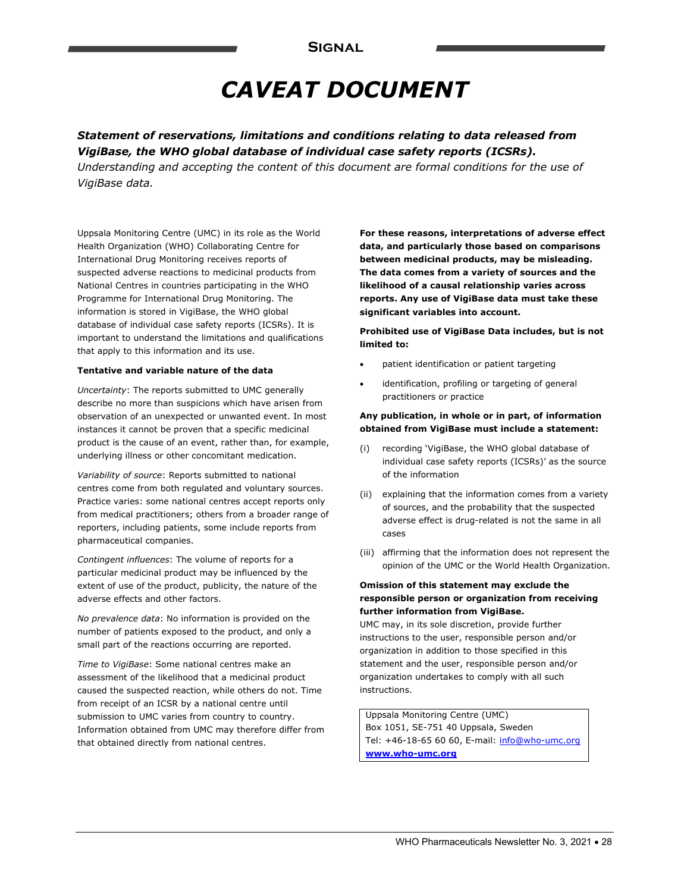## *CAVEAT DOCUMENT*

*Statement of reservations, limitations and conditions relating to data released from VigiBase, the WHO global database of individual case safety reports (ICSRs).* 

*Understanding and accepting the content of this document are formal conditions for the use of VigiBase data.* 

Uppsala Monitoring Centre (UMC) in its role as the World Health Organization (WHO) Collaborating Centre for International Drug Monitoring receives reports of suspected adverse reactions to medicinal products from National Centres in countries participating in the WHO Programme for International Drug Monitoring. The information is stored in VigiBase, the WHO global database of individual case safety reports (ICSRs). It is important to understand the limitations and qualifications that apply to this information and its use.

#### **Tentative and variable nature of the data**

*Uncertainty*: The reports submitted to UMC generally describe no more than suspicions which have arisen from observation of an unexpected or unwanted event. In most instances it cannot be proven that a specific medicinal product is the cause of an event, rather than, for example, underlying illness or other concomitant medication.

*Variability of source*: Reports submitted to national centres come from both regulated and voluntary sources. Practice varies: some national centres accept reports only from medical practitioners; others from a broader range of reporters, including patients, some include reports from pharmaceutical companies.

*Contingent influences*: The volume of reports for a particular medicinal product may be influenced by the extent of use of the product, publicity, the nature of the adverse effects and other factors.

*No prevalence data*: No information is provided on the number of patients exposed to the product, and only a small part of the reactions occurring are reported.

*Time to VigiBase*: Some national centres make an assessment of the likelihood that a medicinal product caused the suspected reaction, while others do not. Time from receipt of an ICSR by a national centre until submission to UMC varies from country to country. Information obtained from UMC may therefore differ from that obtained directly from national centres.

**For these reasons, interpretations of adverse effect data, and particularly those based on comparisons between medicinal products, may be misleading. The data comes from a variety of sources and the likelihood of a causal relationship varies across reports. Any use of VigiBase data must take these significant variables into account.** 

**Prohibited use of VigiBase Data includes, but is not limited to:** 

- patient identification or patient targeting
- identification, profiling or targeting of general practitioners or practice

#### **Any publication, in whole or in part, of information obtained from VigiBase must include a statement:**

- (i) recording 'VigiBase, the WHO global database of individual case safety reports (ICSRs)' as the source of the information
- (ii) explaining that the information comes from a variety of sources, and the probability that the suspected adverse effect is drug-related is not the same in all cases
- (iii) affirming that the information does not represent the opinion of the UMC or the World Health Organization.

#### **Omission of this statement may exclude the responsible person or organization from receiving further information from VigiBase.**

UMC may, in its sole discretion, provide further instructions to the user, responsible person and/or organization in addition to those specified in this statement and the user, responsible person and/or organization undertakes to comply with all such instructions.

Uppsala Monitoring Centre (UMC) Box 1051, SE-751 40 Uppsala, Sweden Tel: +46-18-65 60 60, E-mail: info@who-umc.org **www.who-umc.org**